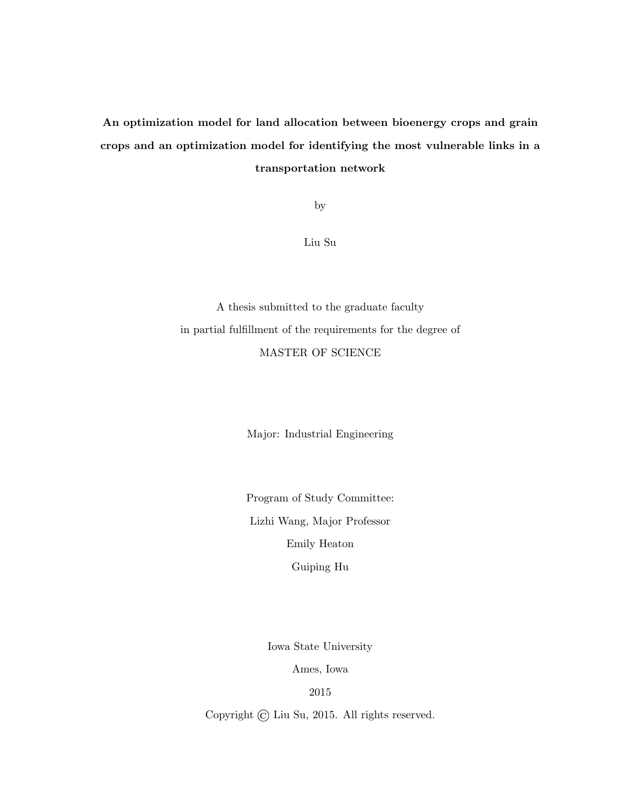An optimization model for land allocation between bioenergy crops and grain crops and an optimization model for identifying the most vulnerable links in a transportation network

by

Liu Su

A thesis submitted to the graduate faculty in partial fulfillment of the requirements for the degree of MASTER OF SCIENCE

Major: Industrial Engineering

Program of Study Committee: Lizhi Wang, Major Professor Emily Heaton

Guiping Hu

Iowa State University

Ames, Iowa

2015

Copyright © Liu Su, 2015. All rights reserved.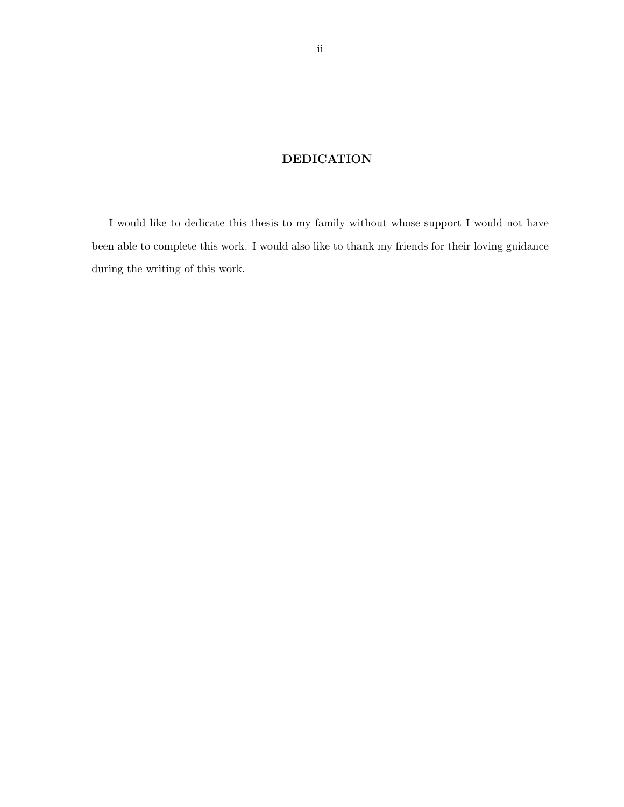## DEDICATION

I would like to dedicate this thesis to my family without whose support I would not have been able to complete this work. I would also like to thank my friends for their loving guidance during the writing of this work.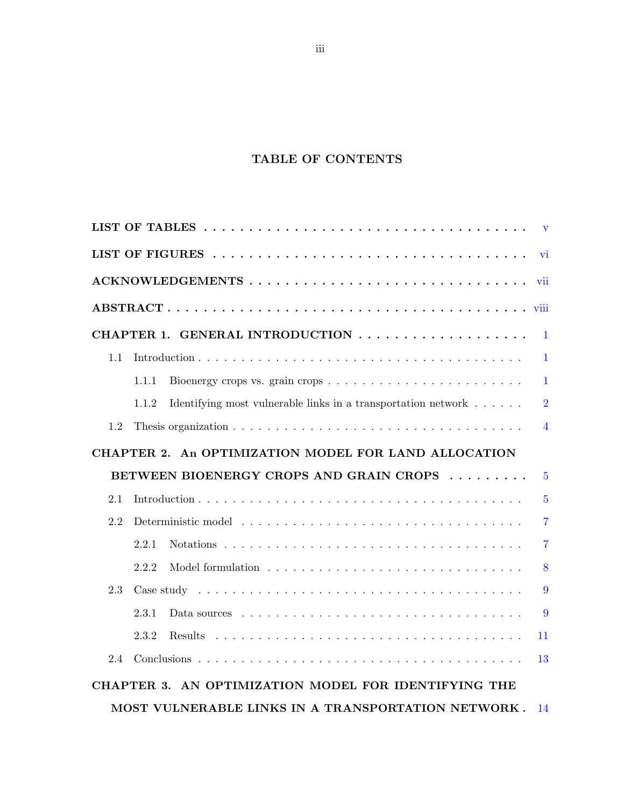# TABLE OF CONTENTS

|     |                                                                                                    | $\mathbf{V}$   |
|-----|----------------------------------------------------------------------------------------------------|----------------|
|     |                                                                                                    | vi             |
|     |                                                                                                    | vii            |
|     |                                                                                                    |                |
|     | CHAPTER 1. GENERAL INTRODUCTION                                                                    | $\overline{1}$ |
| 1.1 |                                                                                                    | $\mathbf{1}$   |
|     | Bioenergy crops vs. grain crops $\ldots \ldots \ldots \ldots \ldots \ldots \ldots \ldots$<br>1.1.1 | $\mathbf{1}$   |
|     | Identifying most vulnerable links in a transportation network $\dots \dots$<br>1.1.2               | $\overline{2}$ |
| 1.2 | Thesis organization $\ldots \ldots \ldots \ldots \ldots \ldots \ldots \ldots \ldots \ldots \ldots$ | $\overline{4}$ |
|     | CHAPTER 2. An OPTIMIZATION MODEL FOR LAND ALLOCATION                                               |                |
|     | BETWEEN BIOENERGY CROPS AND GRAIN CROPS                                                            | $\overline{5}$ |
| 2.1 |                                                                                                    | $\overline{5}$ |
| 2.2 |                                                                                                    | $\overline{7}$ |
|     | 2.2.1                                                                                              | $\overline{7}$ |
|     | 2.2.2                                                                                              | 8              |
| 2.3 |                                                                                                    | 9              |
|     | Data sources $\ldots \ldots \ldots \ldots \ldots \ldots \ldots \ldots \ldots \ldots$<br>2.3.1      | 9              |
|     | 2.3.2                                                                                              | 11             |
| 2.4 |                                                                                                    | 13             |
|     | CHAPTER 3. AN OPTIMIZATION MODEL FOR IDENTIFYING THE                                               |                |
|     | MOST VULNERABLE LINKS IN A TRANSPORTATION NETWORK.                                                 | 14             |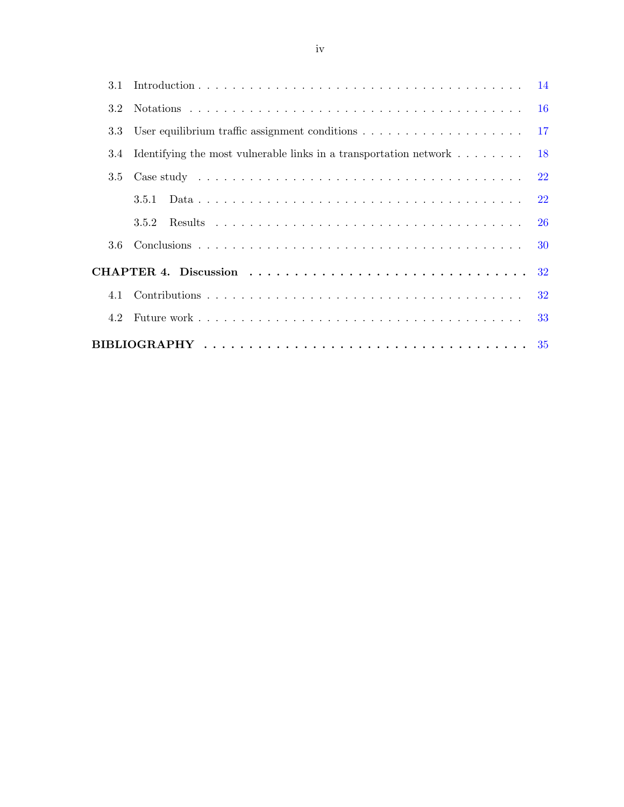| 3.1 |                                                                                      |           |
|-----|--------------------------------------------------------------------------------------|-----------|
| 3.2 |                                                                                      |           |
| 3.3 | User equilibrium traffic assignment conditions $\dots \dots \dots \dots \dots \dots$ | 17        |
| 3.4 | Identifying the most vulnerable links in a transportation network                    | 18        |
| 3.5 |                                                                                      | 22        |
|     | 3.5.1                                                                                | 22        |
|     | 3.5.2                                                                                | <b>26</b> |
| 3.6 |                                                                                      | 30        |
|     | CHAPTER 4. Discussion                                                                | 32        |
| 4.1 |                                                                                      | 32        |
| 4.2 |                                                                                      | 33        |
|     |                                                                                      |           |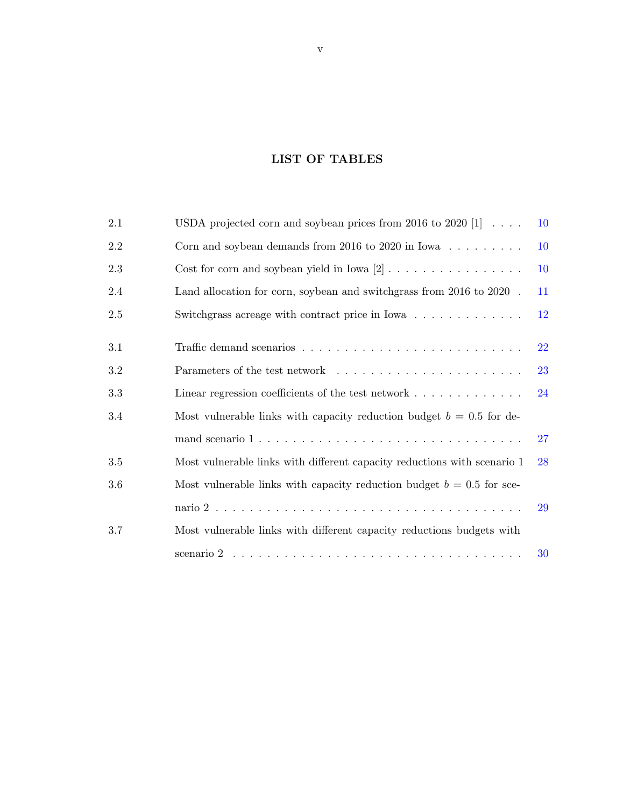# LIST OF TABLES

<span id="page-4-0"></span>

| 2.1 | USDA projected corn and soybean prices from 2016 to 2020 [1] $\ldots$ .                                 | 10 |
|-----|---------------------------------------------------------------------------------------------------------|----|
| 2.2 | Corn and soybean demands from 2016 to 2020 in Iowa $\ldots \ldots \ldots$                               | 10 |
| 2.3 | Cost for corn and soybean yield in Iowa $[2] \ldots \ldots \ldots \ldots \ldots$                        | 10 |
| 2.4 | Land allocation for corn, soybean and switchgrass from 2016 to 2020.                                    | 11 |
| 2.5 | Switchgrass acreage with contract price in Iowa                                                         | 12 |
| 3.1 |                                                                                                         | 22 |
| 3.2 |                                                                                                         | 23 |
| 3.3 | Linear regression coefficients of the test network $\dots \dots \dots \dots$                            | 24 |
| 3.4 | Most vulnerable links with capacity reduction budget $b = 0.5$ for de-                                  |    |
|     |                                                                                                         | 27 |
| 3.5 | Most vulnerable links with different capacity reductions with scenario 1                                | 28 |
| 3.6 | Most vulnerable links with capacity reduction budget $b = 0.5$ for sce-                                 |    |
|     |                                                                                                         | 29 |
| 3.7 | Most vulnerable links with different capacity reductions budgets with                                   |    |
|     | scenario 2 $\ldots \ldots \ldots \ldots \ldots \ldots \ldots \ldots \ldots \ldots \ldots \ldots \ldots$ | 30 |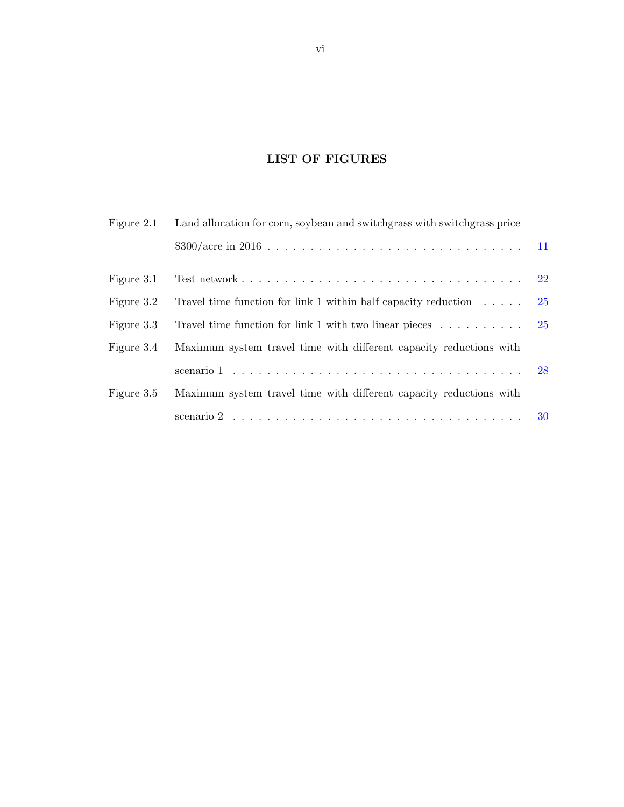# LIST OF FIGURES

<span id="page-5-0"></span>

| Figure 2.1 | Land allocation for corn, soybean and switchgrass with switchgrass price                         |           |
|------------|--------------------------------------------------------------------------------------------------|-----------|
|            |                                                                                                  |           |
| Figure 3.1 |                                                                                                  | 22        |
| Figure 3.2 | Travel time function for link 1 within half capacity reduction $\dots$ .                         | <b>25</b> |
| Figure 3.3 | Travel time function for link 1 with two linear pieces $\dots \dots \dots$                       | 25        |
| Figure 3.4 | Maximum system travel time with different capacity reductions with                               |           |
|            |                                                                                                  |           |
| Figure 3.5 | Maximum system travel time with different capacity reductions with                               |           |
|            | scenario 2 $\ldots \ldots \ldots \ldots \ldots \ldots \ldots \ldots \ldots \ldots \ldots \ldots$ |           |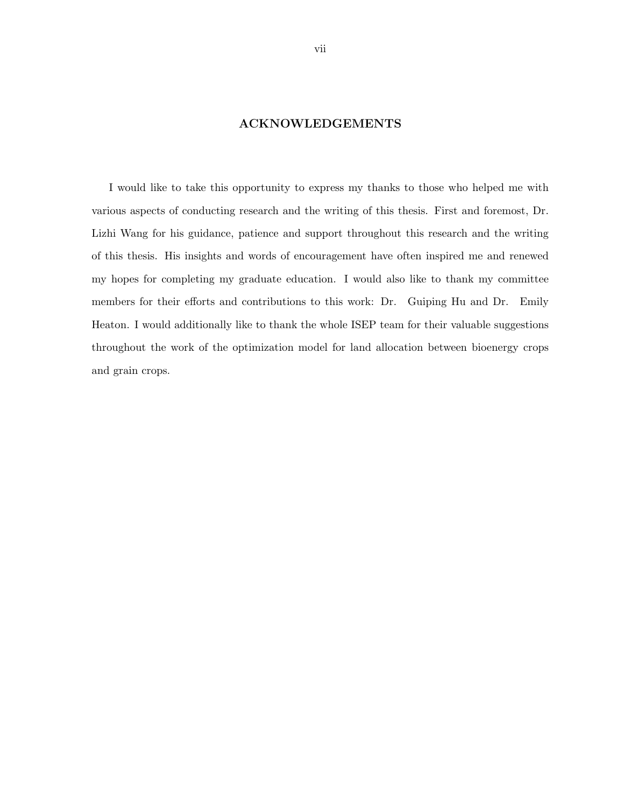## ACKNOWLEDGEMENTS

<span id="page-6-0"></span>I would like to take this opportunity to express my thanks to those who helped me with various aspects of conducting research and the writing of this thesis. First and foremost, Dr. Lizhi Wang for his guidance, patience and support throughout this research and the writing of this thesis. His insights and words of encouragement have often inspired me and renewed my hopes for completing my graduate education. I would also like to thank my committee members for their efforts and contributions to this work: Dr. Guiping Hu and Dr. Emily Heaton. I would additionally like to thank the whole ISEP team for their valuable suggestions throughout the work of the optimization model for land allocation between bioenergy crops and grain crops.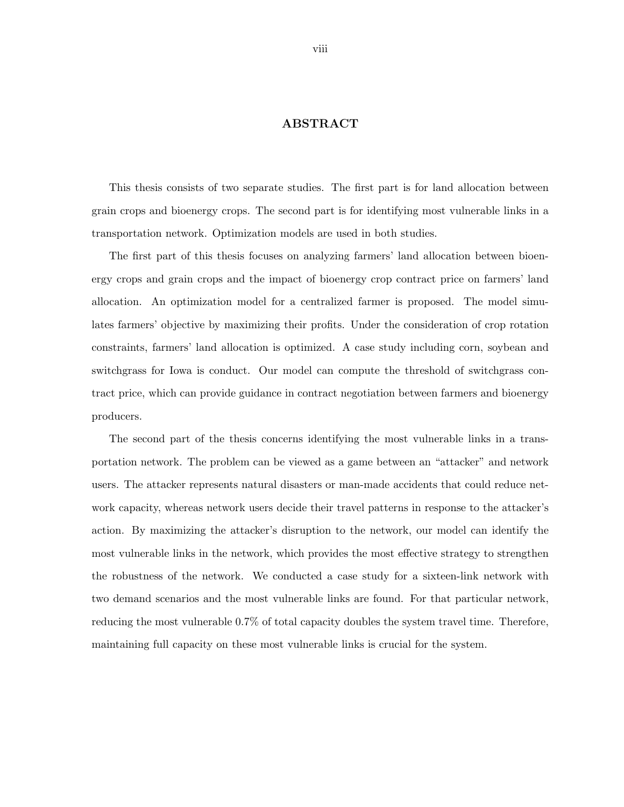## ABSTRACT

<span id="page-7-0"></span>This thesis consists of two separate studies. The first part is for land allocation between grain crops and bioenergy crops. The second part is for identifying most vulnerable links in a transportation network. Optimization models are used in both studies.

The first part of this thesis focuses on analyzing farmers' land allocation between bioenergy crops and grain crops and the impact of bioenergy crop contract price on farmers' land allocation. An optimization model for a centralized farmer is proposed. The model simulates farmers' objective by maximizing their profits. Under the consideration of crop rotation constraints, farmers' land allocation is optimized. A case study including corn, soybean and switchgrass for Iowa is conduct. Our model can compute the threshold of switchgrass contract price, which can provide guidance in contract negotiation between farmers and bioenergy producers.

The second part of the thesis concerns identifying the most vulnerable links in a transportation network. The problem can be viewed as a game between an "attacker" and network users. The attacker represents natural disasters or man-made accidents that could reduce network capacity, whereas network users decide their travel patterns in response to the attacker's action. By maximizing the attacker's disruption to the network, our model can identify the most vulnerable links in the network, which provides the most effective strategy to strengthen the robustness of the network. We conducted a case study for a sixteen-link network with two demand scenarios and the most vulnerable links are found. For that particular network, reducing the most vulnerable 0.7% of total capacity doubles the system travel time. Therefore, maintaining full capacity on these most vulnerable links is crucial for the system.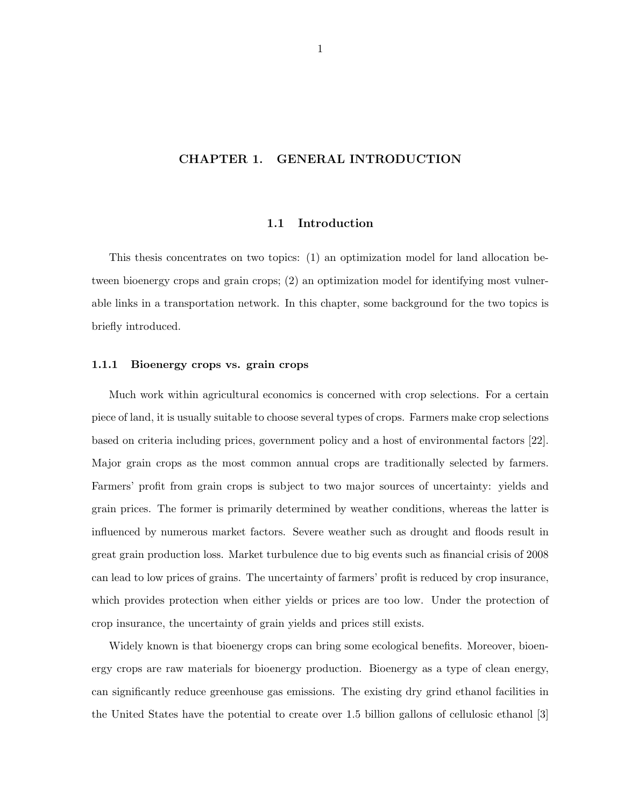## <span id="page-8-0"></span>CHAPTER 1. GENERAL INTRODUCTION

## 1.1 Introduction

This thesis concentrates on two topics: (1) an optimization model for land allocation between bioenergy crops and grain crops; (2) an optimization model for identifying most vulnerable links in a transportation network. In this chapter, some background for the two topics is briefly introduced.

## 1.1.1 Bioenergy crops vs. grain crops

Much work within agricultural economics is concerned with crop selections. For a certain piece of land, it is usually suitable to choose several types of crops. Farmers make crop selections based on criteria including prices, government policy and a host of environmental factors [22]. Major grain crops as the most common annual crops are traditionally selected by farmers. Farmers' profit from grain crops is subject to two major sources of uncertainty: yields and grain prices. The former is primarily determined by weather conditions, whereas the latter is influenced by numerous market factors. Severe weather such as drought and floods result in great grain production loss. Market turbulence due to big events such as financial crisis of 2008 can lead to low prices of grains. The uncertainty of farmers' profit is reduced by crop insurance, which provides protection when either yields or prices are too low. Under the protection of crop insurance, the uncertainty of grain yields and prices still exists.

Widely known is that bioenergy crops can bring some ecological benefits. Moreover, bioenergy crops are raw materials for bioenergy production. Bioenergy as a type of clean energy, can significantly reduce greenhouse gas emissions. The existing dry grind ethanol facilities in the United States have the potential to create over 1.5 billion gallons of cellulosic ethanol [3]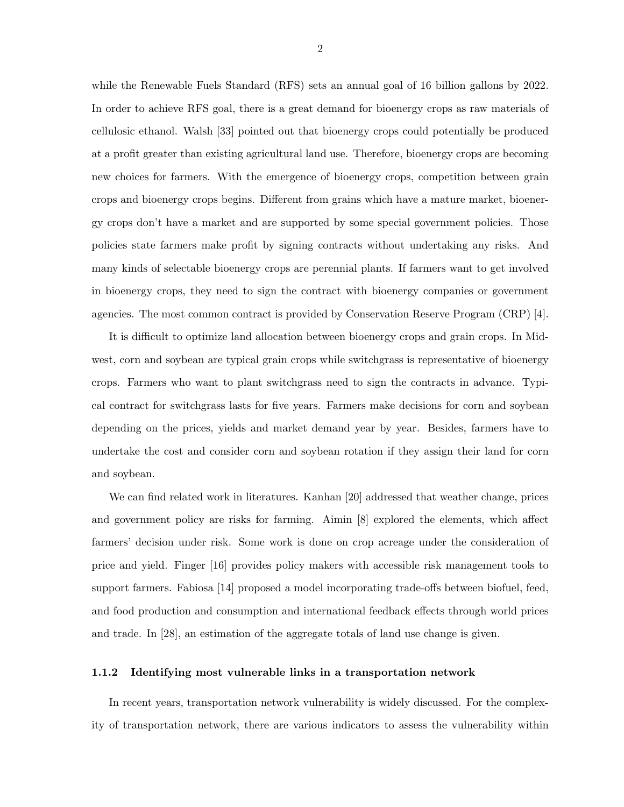<span id="page-9-0"></span>while the Renewable Fuels Standard (RFS) sets an annual goal of 16 billion gallons by 2022. In order to achieve RFS goal, there is a great demand for bioenergy crops as raw materials of cellulosic ethanol. Walsh [33] pointed out that bioenergy crops could potentially be produced at a profit greater than existing agricultural land use. Therefore, bioenergy crops are becoming new choices for farmers. With the emergence of bioenergy crops, competition between grain crops and bioenergy crops begins. Different from grains which have a mature market, bioenergy crops don't have a market and are supported by some special government policies. Those policies state farmers make profit by signing contracts without undertaking any risks. And many kinds of selectable bioenergy crops are perennial plants. If farmers want to get involved in bioenergy crops, they need to sign the contract with bioenergy companies or government agencies. The most common contract is provided by Conservation Reserve Program (CRP) [4].

It is difficult to optimize land allocation between bioenergy crops and grain crops. In Midwest, corn and soybean are typical grain crops while switchgrass is representative of bioenergy crops. Farmers who want to plant switchgrass need to sign the contracts in advance. Typical contract for switchgrass lasts for five years. Farmers make decisions for corn and soybean depending on the prices, yields and market demand year by year. Besides, farmers have to undertake the cost and consider corn and soybean rotation if they assign their land for corn and soybean.

We can find related work in literatures. Kanhan [20] addressed that weather change, prices and government policy are risks for farming. Aimin [8] explored the elements, which affect farmers' decision under risk. Some work is done on crop acreage under the consideration of price and yield. Finger [16] provides policy makers with accessible risk management tools to support farmers. Fabiosa [14] proposed a model incorporating trade-offs between biofuel, feed, and food production and consumption and international feedback effects through world prices and trade. In [28], an estimation of the aggregate totals of land use change is given.

#### 1.1.2 Identifying most vulnerable links in a transportation network

In recent years, transportation network vulnerability is widely discussed. For the complexity of transportation network, there are various indicators to assess the vulnerability within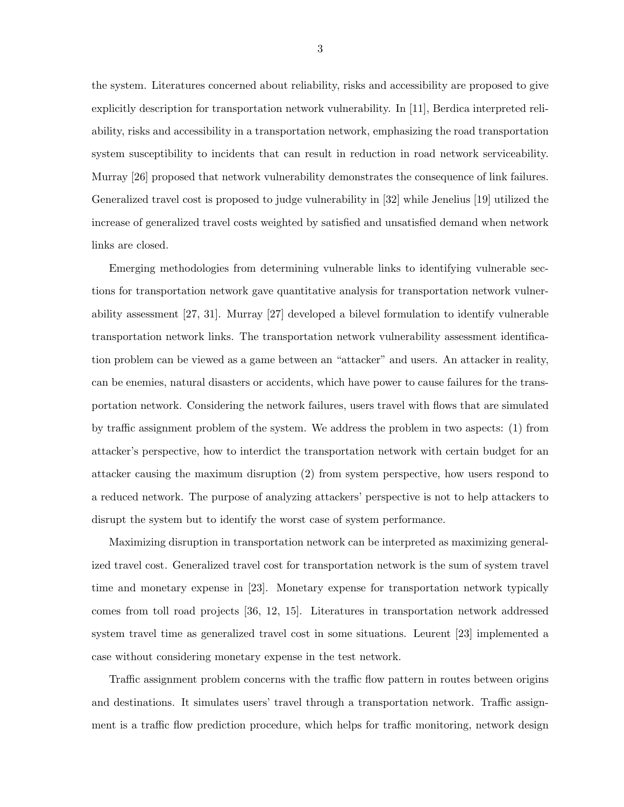the system. Literatures concerned about reliability, risks and accessibility are proposed to give explicitly description for transportation network vulnerability. In [11], Berdica interpreted reliability, risks and accessibility in a transportation network, emphasizing the road transportation system susceptibility to incidents that can result in reduction in road network serviceability. Murray [26] proposed that network vulnerability demonstrates the consequence of link failures. Generalized travel cost is proposed to judge vulnerability in [32] while Jenelius [19] utilized the increase of generalized travel costs weighted by satisfied and unsatisfied demand when network links are closed.

Emerging methodologies from determining vulnerable links to identifying vulnerable sections for transportation network gave quantitative analysis for transportation network vulnerability assessment [27, 31]. Murray [27] developed a bilevel formulation to identify vulnerable transportation network links. The transportation network vulnerability assessment identification problem can be viewed as a game between an "attacker" and users. An attacker in reality, can be enemies, natural disasters or accidents, which have power to cause failures for the transportation network. Considering the network failures, users travel with flows that are simulated by traffic assignment problem of the system. We address the problem in two aspects: (1) from attacker's perspective, how to interdict the transportation network with certain budget for an attacker causing the maximum disruption (2) from system perspective, how users respond to a reduced network. The purpose of analyzing attackers' perspective is not to help attackers to disrupt the system but to identify the worst case of system performance.

Maximizing disruption in transportation network can be interpreted as maximizing generalized travel cost. Generalized travel cost for transportation network is the sum of system travel time and monetary expense in [23]. Monetary expense for transportation network typically comes from toll road projects [36, 12, 15]. Literatures in transportation network addressed system travel time as generalized travel cost in some situations. Leurent [23] implemented a case without considering monetary expense in the test network.

Traffic assignment problem concerns with the traffic flow pattern in routes between origins and destinations. It simulates users' travel through a transportation network. Traffic assignment is a traffic flow prediction procedure, which helps for traffic monitoring, network design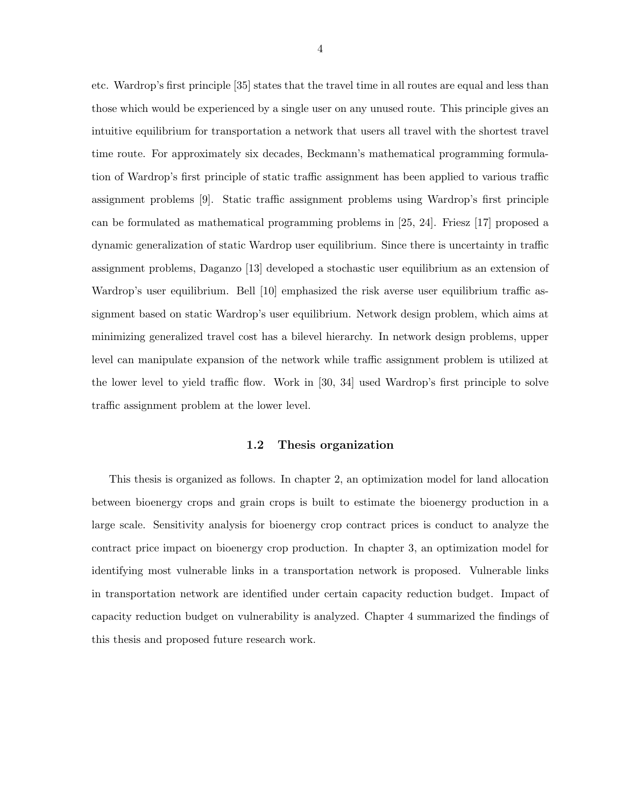<span id="page-11-0"></span>etc. Wardrop's first principle [35] states that the travel time in all routes are equal and less than those which would be experienced by a single user on any unused route. This principle gives an intuitive equilibrium for transportation a network that users all travel with the shortest travel time route. For approximately six decades, Beckmann's mathematical programming formulation of Wardrop's first principle of static traffic assignment has been applied to various traffic assignment problems [9]. Static traffic assignment problems using Wardrop's first principle can be formulated as mathematical programming problems in [25, 24]. Friesz [17] proposed a dynamic generalization of static Wardrop user equilibrium. Since there is uncertainty in traffic assignment problems, Daganzo [13] developed a stochastic user equilibrium as an extension of Wardrop's user equilibrium. Bell [10] emphasized the risk averse user equilibrium traffic assignment based on static Wardrop's user equilibrium. Network design problem, which aims at minimizing generalized travel cost has a bilevel hierarchy. In network design problems, upper level can manipulate expansion of the network while traffic assignment problem is utilized at the lower level to yield traffic flow. Work in [30, 34] used Wardrop's first principle to solve traffic assignment problem at the lower level.

## 1.2 Thesis organization

This thesis is organized as follows. In chapter 2, an optimization model for land allocation between bioenergy crops and grain crops is built to estimate the bioenergy production in a large scale. Sensitivity analysis for bioenergy crop contract prices is conduct to analyze the contract price impact on bioenergy crop production. In chapter 3, an optimization model for identifying most vulnerable links in a transportation network is proposed. Vulnerable links in transportation network are identified under certain capacity reduction budget. Impact of capacity reduction budget on vulnerability is analyzed. Chapter 4 summarized the findings of this thesis and proposed future research work.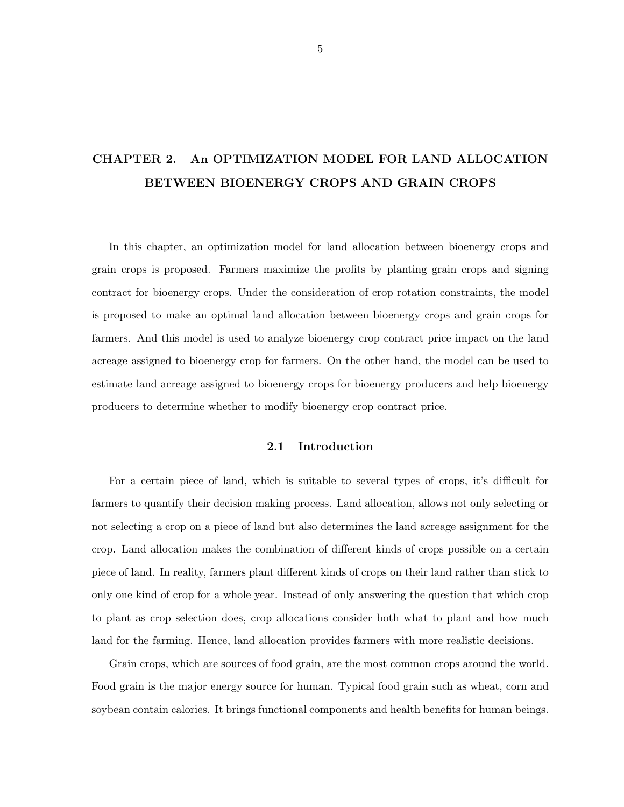# <span id="page-12-0"></span>CHAPTER 2. An OPTIMIZATION MODEL FOR LAND ALLOCATION BETWEEN BIOENERGY CROPS AND GRAIN CROPS

In this chapter, an optimization model for land allocation between bioenergy crops and grain crops is proposed. Farmers maximize the profits by planting grain crops and signing contract for bioenergy crops. Under the consideration of crop rotation constraints, the model is proposed to make an optimal land allocation between bioenergy crops and grain crops for farmers. And this model is used to analyze bioenergy crop contract price impact on the land acreage assigned to bioenergy crop for farmers. On the other hand, the model can be used to estimate land acreage assigned to bioenergy crops for bioenergy producers and help bioenergy producers to determine whether to modify bioenergy crop contract price.

#### 2.1 Introduction

For a certain piece of land, which is suitable to several types of crops, it's difficult for farmers to quantify their decision making process. Land allocation, allows not only selecting or not selecting a crop on a piece of land but also determines the land acreage assignment for the crop. Land allocation makes the combination of different kinds of crops possible on a certain piece of land. In reality, farmers plant different kinds of crops on their land rather than stick to only one kind of crop for a whole year. Instead of only answering the question that which crop to plant as crop selection does, crop allocations consider both what to plant and how much land for the farming. Hence, land allocation provides farmers with more realistic decisions.

Grain crops, which are sources of food grain, are the most common crops around the world. Food grain is the major energy source for human. Typical food grain such as wheat, corn and soybean contain calories. It brings functional components and health benefits for human beings.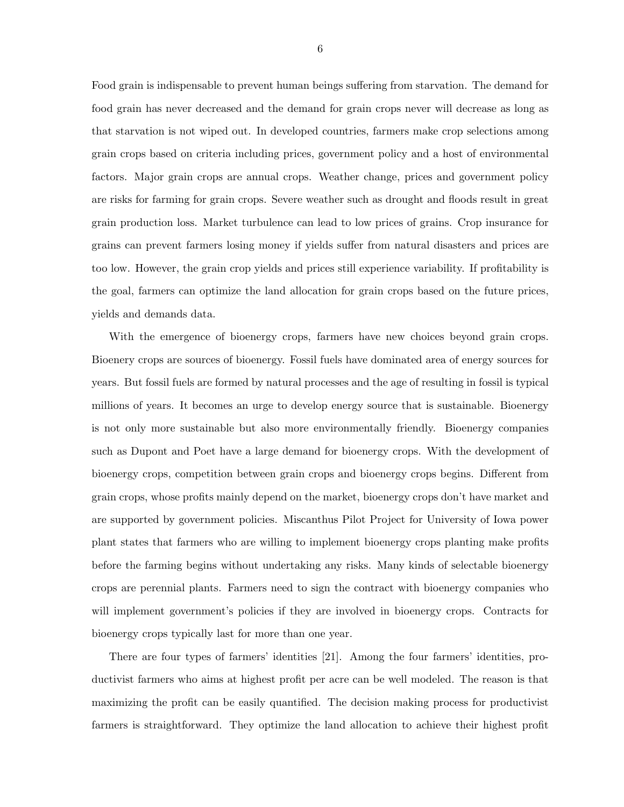Food grain is indispensable to prevent human beings suffering from starvation. The demand for food grain has never decreased and the demand for grain crops never will decrease as long as that starvation is not wiped out. In developed countries, farmers make crop selections among grain crops based on criteria including prices, government policy and a host of environmental factors. Major grain crops are annual crops. Weather change, prices and government policy are risks for farming for grain crops. Severe weather such as drought and floods result in great grain production loss. Market turbulence can lead to low prices of grains. Crop insurance for grains can prevent farmers losing money if yields suffer from natural disasters and prices are too low. However, the grain crop yields and prices still experience variability. If profitability is the goal, farmers can optimize the land allocation for grain crops based on the future prices, yields and demands data.

With the emergence of bioenergy crops, farmers have new choices beyond grain crops. Bioenery crops are sources of bioenergy. Fossil fuels have dominated area of energy sources for years. But fossil fuels are formed by natural processes and the age of resulting in fossil is typical millions of years. It becomes an urge to develop energy source that is sustainable. Bioenergy is not only more sustainable but also more environmentally friendly. Bioenergy companies such as Dupont and Poet have a large demand for bioenergy crops. With the development of bioenergy crops, competition between grain crops and bioenergy crops begins. Different from grain crops, whose profits mainly depend on the market, bioenergy crops don't have market and are supported by government policies. Miscanthus Pilot Project for University of Iowa power plant states that farmers who are willing to implement bioenergy crops planting make profits before the farming begins without undertaking any risks. Many kinds of selectable bioenergy crops are perennial plants. Farmers need to sign the contract with bioenergy companies who will implement government's policies if they are involved in bioenergy crops. Contracts for bioenergy crops typically last for more than one year.

There are four types of farmers' identities [21]. Among the four farmers' identities, productivist farmers who aims at highest profit per acre can be well modeled. The reason is that maximizing the profit can be easily quantified. The decision making process for productivist farmers is straightforward. They optimize the land allocation to achieve their highest profit

6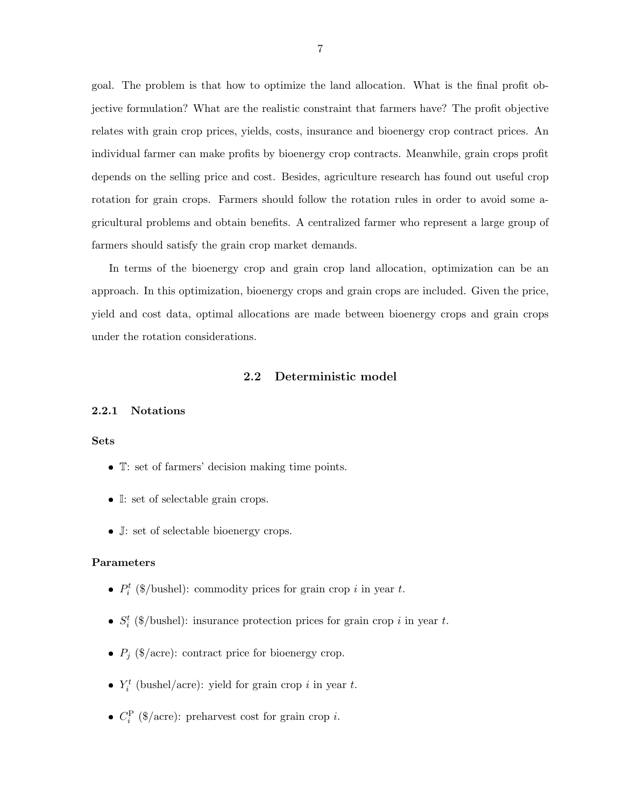<span id="page-14-0"></span>goal. The problem is that how to optimize the land allocation. What is the final profit objective formulation? What are the realistic constraint that farmers have? The profit objective relates with grain crop prices, yields, costs, insurance and bioenergy crop contract prices. An individual farmer can make profits by bioenergy crop contracts. Meanwhile, grain crops profit depends on the selling price and cost. Besides, agriculture research has found out useful crop rotation for grain crops. Farmers should follow the rotation rules in order to avoid some agricultural problems and obtain benefits. A centralized farmer who represent a large group of farmers should satisfy the grain crop market demands.

In terms of the bioenergy crop and grain crop land allocation, optimization can be an approach. In this optimization, bioenergy crops and grain crops are included. Given the price, yield and cost data, optimal allocations are made between bioenergy crops and grain crops under the rotation considerations.

## 2.2 Deterministic model

#### 2.2.1 Notations

## Sets

- T: set of farmers' decision making time points.
- I: set of selectable grain crops.
- J: set of selectable bioenergy crops.

## Parameters

- $P_i^t$  (\$/bushel): commodity prices for grain crop *i* in year *t*.
- $S_i^t$  (\$/bushel): insurance protection prices for grain crop i in year t.
- $P_j$  (\$/acre): contract price for bioenergy crop.
- $Y_i^t$  (bushel/acre): yield for grain crop *i* in year *t*.
- $C_i^{\text{P}}$  (\$/acre): preharvest cost for grain crop *i*.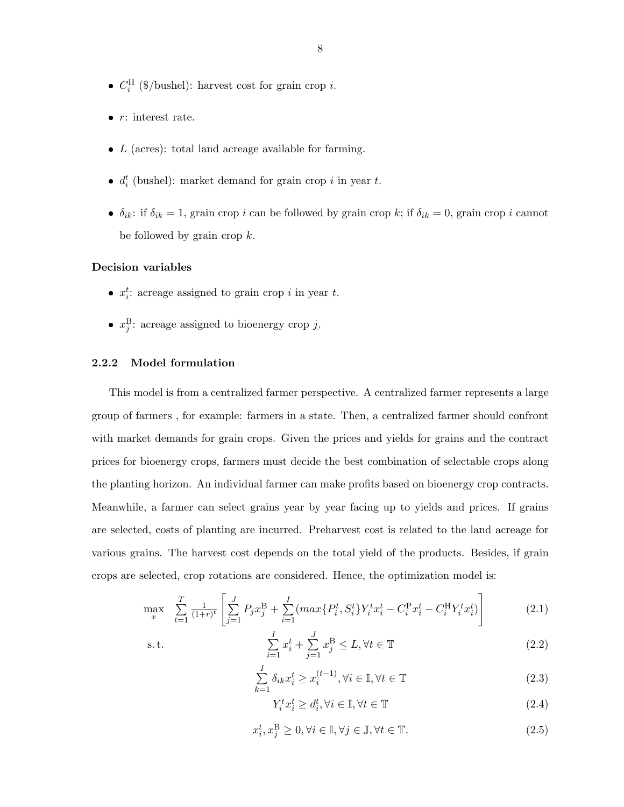- <span id="page-15-0"></span> $\bullet \enspace C_i^{\rm H}$  (\$/bushel): harvest cost for grain crop  $i.$
- $r:$  interest rate.
- $\bullet$  *L* (acres): total land acreage available for farming.
- $\bullet$   $\,d_i^t$  (bushel): market demand for grain crop  $i$  in year  $t.$
- $\delta_{ik}$ : if  $\delta_{ik} = 1$ , grain crop i can be followed by grain crop k; if  $\delta_{ik} = 0$ , grain crop i cannot be followed by grain crop  $k$ .

## Decision variables

- $x_i^t$ : acreage assigned to grain crop i in year t.
- $x_j^B$ : acreage assigned to bioenergy crop j.

## 2.2.2 Model formulation

This model is from a centralized farmer perspective. A centralized farmer represents a large group of farmers , for example: farmers in a state. Then, a centralized farmer should confront with market demands for grain crops. Given the prices and yields for grains and the contract prices for bioenergy crops, farmers must decide the best combination of selectable crops along the planting horizon. An individual farmer can make profits based on bioenergy crop contracts. Meanwhile, a farmer can select grains year by year facing up to yields and prices. If grains are selected, costs of planting are incurred. Preharvest cost is related to the land acreage for various grains. The harvest cost depends on the total yield of the products. Besides, if grain crops are selected, crop rotations are considered. Hence, the optimization model is:

$$
\max_{x} \sum_{t=1}^{T} \frac{1}{(1+r)^{t}} \left[ \sum_{j=1}^{J} P_{j} x_{j}^{B} + \sum_{i=1}^{I} (max\{P_{i}^{t}, S_{i}^{t}\} Y_{i}^{t} x_{i}^{t} - C_{i}^{P} x_{i}^{t} - C_{i}^{H} Y_{i}^{t} x_{i}^{t}) \right]
$$
(2.1)

s.t.

$$
\sum_{i=1}^{I} x_i^t + \sum_{j=1}^{J} x_j^B \le L, \forall t \in \mathbb{T}
$$
\n(2.2)

$$
\sum_{k=1}^{I} \delta_{ik} x_i^t \ge x_i^{(t-1)}, \forall i \in \mathbb{I}, \forall t \in \mathbb{T}
$$
\n(2.3)

$$
Y_i^t x_i^t \ge d_i^t, \forall i \in \mathbb{I}, \forall t \in \mathbb{T}
$$
\n
$$
(2.4)
$$

$$
x_i^t, x_j^B \ge 0, \forall i \in \mathbb{I}, \forall j \in \mathbb{J}, \forall t \in \mathbb{T}.\tag{2.5}
$$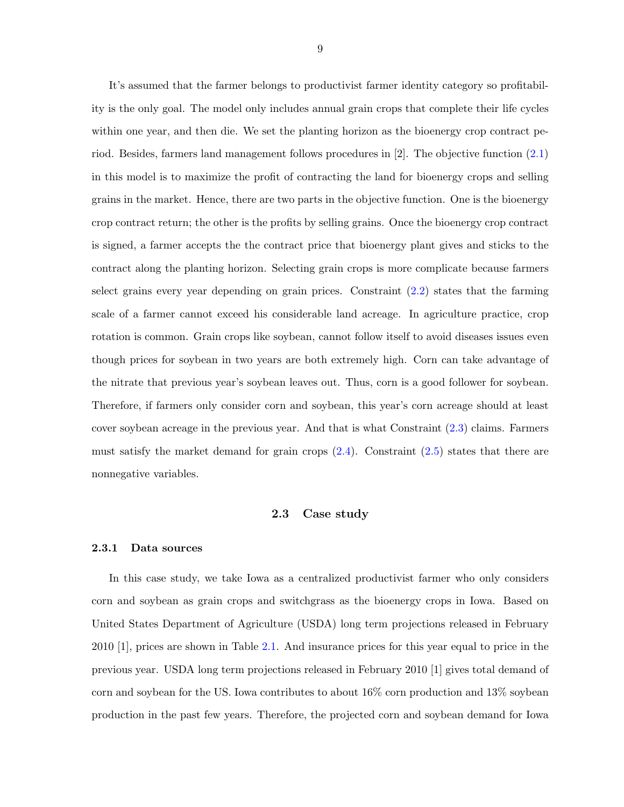<span id="page-16-0"></span>It's assumed that the farmer belongs to productivist farmer identity category so profitability is the only goal. The model only includes annual grain crops that complete their life cycles within one year, and then die. We set the planting horizon as the bioenergy crop contract period. Besides, farmers land management follows procedures in [2]. The objective function [\(2.1\)](#page-15-0) in this model is to maximize the profit of contracting the land for bioenergy crops and selling grains in the market. Hence, there are two parts in the objective function. One is the bioenergy crop contract return; the other is the profits by selling grains. Once the bioenergy crop contract is signed, a farmer accepts the the contract price that bioenergy plant gives and sticks to the contract along the planting horizon. Selecting grain crops is more complicate because farmers select grains every year depending on grain prices. Constraint [\(2.2\)](#page-15-0) states that the farming scale of a farmer cannot exceed his considerable land acreage. In agriculture practice, crop rotation is common. Grain crops like soybean, cannot follow itself to avoid diseases issues even though prices for soybean in two years are both extremely high. Corn can take advantage of the nitrate that previous year's soybean leaves out. Thus, corn is a good follower for soybean. Therefore, if farmers only consider corn and soybean, this year's corn acreage should at least cover soybean acreage in the previous year. And that is what Constraint [\(2.3\)](#page-15-0) claims. Farmers must satisfy the market demand for grain crops  $(2.4)$ . Constraint  $(2.5)$  states that there are nonnegative variables.

## 2.3 Case study

#### 2.3.1 Data sources

In this case study, we take Iowa as a centralized productivist farmer who only considers corn and soybean as grain crops and switchgrass as the bioenergy crops in Iowa. Based on United States Department of Agriculture (USDA) long term projections released in February 2010 [1], prices are shown in Table [2.1.](#page-17-0) And insurance prices for this year equal to price in the previous year. USDA long term projections released in February 2010 [1] gives total demand of corn and soybean for the US. Iowa contributes to about 16% corn production and 13% soybean production in the past few years. Therefore, the projected corn and soybean demand for Iowa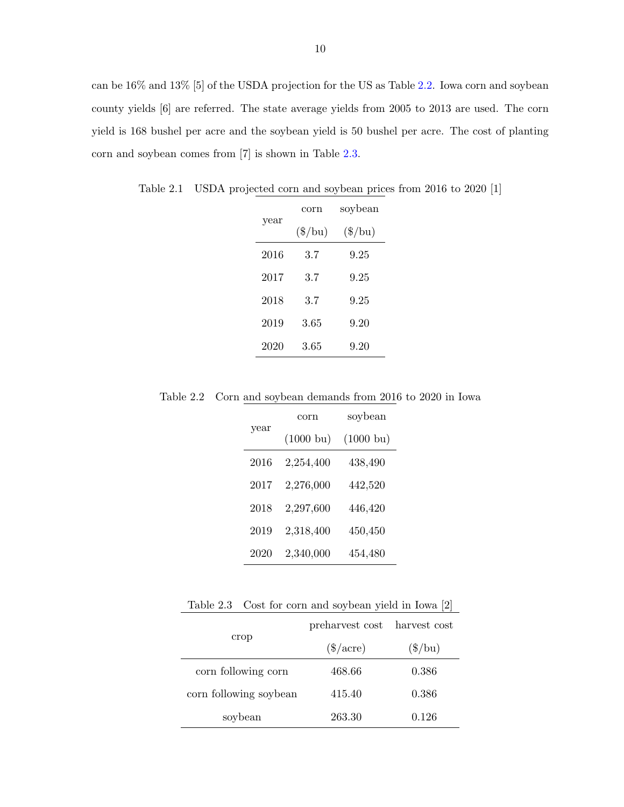<span id="page-17-0"></span>can be 16% and 13% [5] of the USDA projection for the US as Table 2.2. Iowa corn and soybean county yields [6] are referred. The state average yields from 2005 to 2013 are used. The corn yield is 168 bushel per acre and the soybean yield is 50 bushel per acre. The cost of planting corn and soybean comes from [7] is shown in Table 2.3.

year corn soybean (\$/bu) (\$/bu) 2016 3.7 9.25 2017 3.7 9.25 2018 3.7 9.25 2019 3.65 9.20 2020 3.65 9.20

Table 2.1 USDA projected corn and soybean prices from 2016 to 2020 [1]

Table 2.2 Corn and soybean demands from 2016 to 2020 in Iowa

| year | corn                | soybean             |
|------|---------------------|---------------------|
|      | $(1000 \text{ bu})$ | $(1000 \text{ bu})$ |
| 2016 | 2,254,400           | 438,490             |
| 2017 | 2,276,000           | 442,520             |
| 2018 | 2,297,600           | 446,420             |
| 2019 | 2,318,400           | 450,450             |
| 2020 | 2,340,000           | 454,480             |

Table 2.3 Cost for corn and soybean yield in Iowa [2]

|                        | preharvest cost harvest cost |                                |
|------------------------|------------------------------|--------------------------------|
| crop                   | $(\$/acre)$                  | $(\frac{\text{}}{\text{b}}$ u) |
| corn following corn    | 468.66                       | 0.386                          |
| corn following soybean | 415.40                       | 0.386                          |
| soybean                | 263.30                       | 0.126                          |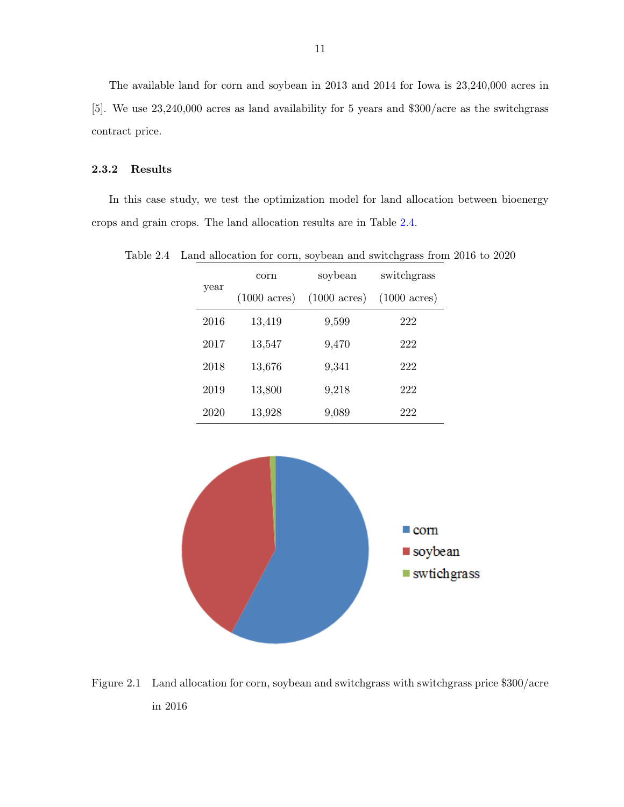<span id="page-18-0"></span>The available land for corn and soybean in 2013 and 2014 for Iowa is 23,240,000 acres in [5]. We use 23,240,000 acres as land availability for 5 years and \$300/acre as the switchgrass contract price.

## 2.3.2 Results

In this case study, we test the optimization model for land allocation between bioenergy crops and grain crops. The land allocation results are in Table 2.4.

|  |      | corn                   | soybean                | switchgrass            |
|--|------|------------------------|------------------------|------------------------|
|  | year | $(1000 \text{ acres})$ | $(1000 \text{ acres})$ | $(1000 \text{ acres})$ |
|  | 2016 | 13,419                 | 9,599                  | 222                    |
|  | 2017 | 13,547                 | 9,470                  | 222                    |
|  | 2018 | 13,676                 | 9,341                  | 222                    |
|  | 2019 | 13,800                 | 9,218                  | 222                    |
|  | 2020 | 13,928                 | 9,089                  | 222                    |

Table 2.4 Land allocation for corn, soybean and switchgrass from 2016 to 2020



Figure 2.1 Land allocation for corn, soybean and switchgrass with switchgrass price \$300/acre in 2016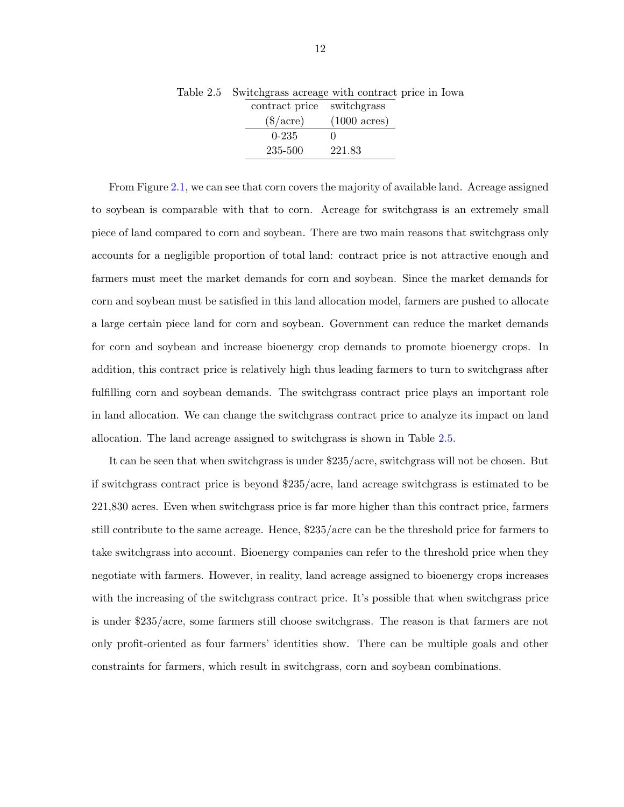|  |           | it 2.0 DWIRTHERS acreage with contract price is |  |
|--|-----------|-------------------------------------------------|--|
|  |           | contract price switchgrass                      |  |
|  |           | $(\$/\text{acre})$ (1000 acres)                 |  |
|  | $0 - 235$ |                                                 |  |
|  | 235-500   | 221.83                                          |  |

<span id="page-19-0"></span>Table 2.5 Switchgrass acreage with contract price in Iowa

From Figure [2.1,](#page-18-0) we can see that corn covers the majority of available land. Acreage assigned to soybean is comparable with that to corn. Acreage for switchgrass is an extremely small piece of land compared to corn and soybean. There are two main reasons that switchgrass only accounts for a negligible proportion of total land: contract price is not attractive enough and farmers must meet the market demands for corn and soybean. Since the market demands for corn and soybean must be satisfied in this land allocation model, farmers are pushed to allocate a large certain piece land for corn and soybean. Government can reduce the market demands for corn and soybean and increase bioenergy crop demands to promote bioenergy crops. In addition, this contract price is relatively high thus leading farmers to turn to switchgrass after fulfilling corn and soybean demands. The switchgrass contract price plays an important role in land allocation. We can change the switchgrass contract price to analyze its impact on land allocation. The land acreage assigned to switchgrass is shown in Table 2.5.

It can be seen that when switchgrass is under \$235/acre, switchgrass will not be chosen. But if switchgrass contract price is beyond \$235/acre, land acreage switchgrass is estimated to be 221,830 acres. Even when switchgrass price is far more higher than this contract price, farmers still contribute to the same acreage. Hence, \$235/acre can be the threshold price for farmers to take switchgrass into account. Bioenergy companies can refer to the threshold price when they negotiate with farmers. However, in reality, land acreage assigned to bioenergy crops increases with the increasing of the switchgrass contract price. It's possible that when switchgrass price is under \$235/acre, some farmers still choose switchgrass. The reason is that farmers are not only profit-oriented as four farmers' identities show. There can be multiple goals and other constraints for farmers, which result in switchgrass, corn and soybean combinations.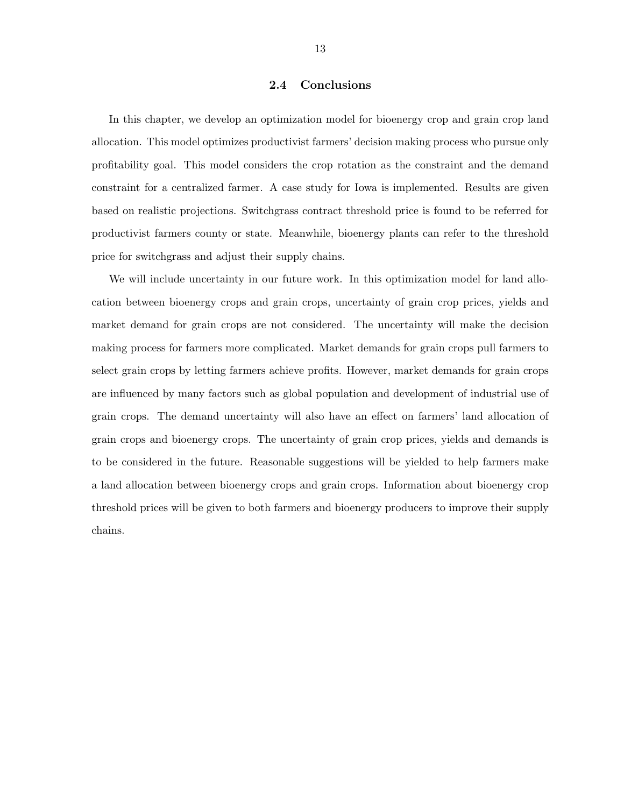#### 2.4 Conclusions

<span id="page-20-0"></span>In this chapter, we develop an optimization model for bioenergy crop and grain crop land allocation. This model optimizes productivist farmers' decision making process who pursue only profitability goal. This model considers the crop rotation as the constraint and the demand constraint for a centralized farmer. A case study for Iowa is implemented. Results are given based on realistic projections. Switchgrass contract threshold price is found to be referred for productivist farmers county or state. Meanwhile, bioenergy plants can refer to the threshold price for switchgrass and adjust their supply chains.

We will include uncertainty in our future work. In this optimization model for land allocation between bioenergy crops and grain crops, uncertainty of grain crop prices, yields and market demand for grain crops are not considered. The uncertainty will make the decision making process for farmers more complicated. Market demands for grain crops pull farmers to select grain crops by letting farmers achieve profits. However, market demands for grain crops are influenced by many factors such as global population and development of industrial use of grain crops. The demand uncertainty will also have an effect on farmers' land allocation of grain crops and bioenergy crops. The uncertainty of grain crop prices, yields and demands is to be considered in the future. Reasonable suggestions will be yielded to help farmers make a land allocation between bioenergy crops and grain crops. Information about bioenergy crop threshold prices will be given to both farmers and bioenergy producers to improve their supply chains.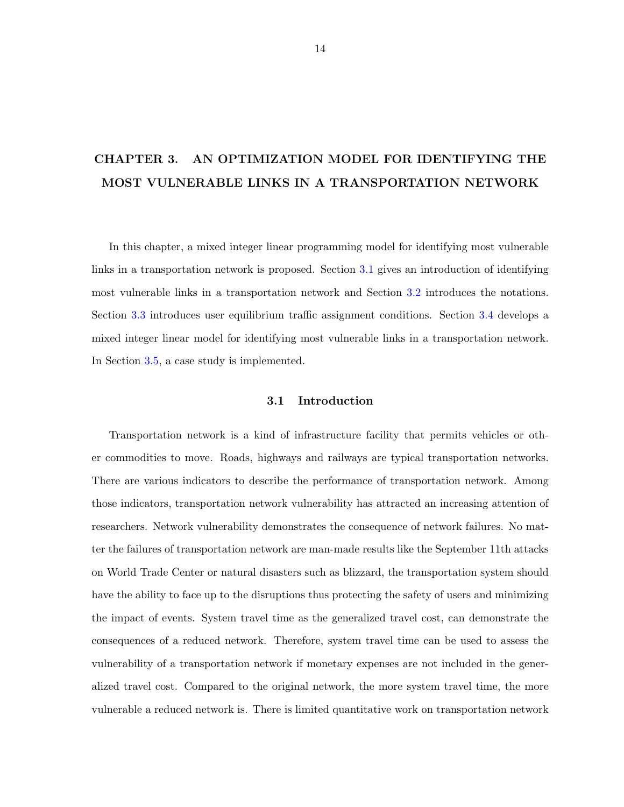# <span id="page-21-0"></span>CHAPTER 3. AN OPTIMIZATION MODEL FOR IDENTIFYING THE MOST VULNERABLE LINKS IN A TRANSPORTATION NETWORK

In this chapter, a mixed integer linear programming model for identifying most vulnerable links in a transportation network is proposed. Section 3.1 gives an introduction of identifying most vulnerable links in a transportation network and Section [3.2](#page-23-0) introduces the notations. Section [3.3](#page-24-0) introduces user equilibrium traffic assignment conditions. Section [3.4](#page-25-0) develops a mixed integer linear model for identifying most vulnerable links in a transportation network. In Section [3.5,](#page-29-0) a case study is implemented.

## 3.1 Introduction

Transportation network is a kind of infrastructure facility that permits vehicles or other commodities to move. Roads, highways and railways are typical transportation networks. There are various indicators to describe the performance of transportation network. Among those indicators, transportation network vulnerability has attracted an increasing attention of researchers. Network vulnerability demonstrates the consequence of network failures. No matter the failures of transportation network are man-made results like the September 11th attacks on World Trade Center or natural disasters such as blizzard, the transportation system should have the ability to face up to the disruptions thus protecting the safety of users and minimizing the impact of events. System travel time as the generalized travel cost, can demonstrate the consequences of a reduced network. Therefore, system travel time can be used to assess the vulnerability of a transportation network if monetary expenses are not included in the generalized travel cost. Compared to the original network, the more system travel time, the more vulnerable a reduced network is. There is limited quantitative work on transportation network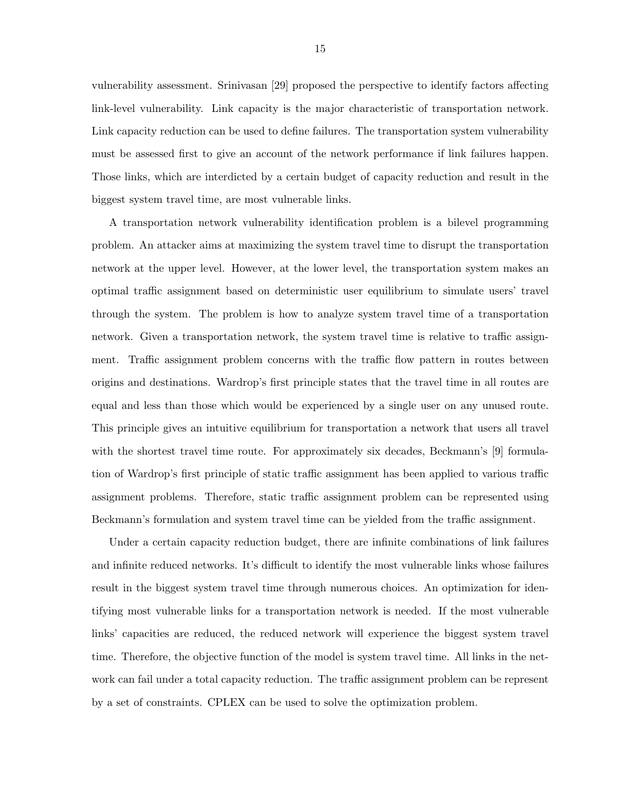vulnerability assessment. Srinivasan [29] proposed the perspective to identify factors affecting link-level vulnerability. Link capacity is the major characteristic of transportation network. Link capacity reduction can be used to define failures. The transportation system vulnerability must be assessed first to give an account of the network performance if link failures happen. Those links, which are interdicted by a certain budget of capacity reduction and result in the biggest system travel time, are most vulnerable links.

A transportation network vulnerability identification problem is a bilevel programming problem. An attacker aims at maximizing the system travel time to disrupt the transportation network at the upper level. However, at the lower level, the transportation system makes an optimal traffic assignment based on deterministic user equilibrium to simulate users' travel through the system. The problem is how to analyze system travel time of a transportation network. Given a transportation network, the system travel time is relative to traffic assignment. Traffic assignment problem concerns with the traffic flow pattern in routes between origins and destinations. Wardrop's first principle states that the travel time in all routes are equal and less than those which would be experienced by a single user on any unused route. This principle gives an intuitive equilibrium for transportation a network that users all travel with the shortest travel time route. For approximately six decades, Beckmann's [9] formulation of Wardrop's first principle of static traffic assignment has been applied to various traffic assignment problems. Therefore, static traffic assignment problem can be represented using Beckmann's formulation and system travel time can be yielded from the traffic assignment.

Under a certain capacity reduction budget, there are infinite combinations of link failures and infinite reduced networks. It's difficult to identify the most vulnerable links whose failures result in the biggest system travel time through numerous choices. An optimization for identifying most vulnerable links for a transportation network is needed. If the most vulnerable links' capacities are reduced, the reduced network will experience the biggest system travel time. Therefore, the objective function of the model is system travel time. All links in the network can fail under a total capacity reduction. The traffic assignment problem can be represent by a set of constraints. CPLEX can be used to solve the optimization problem.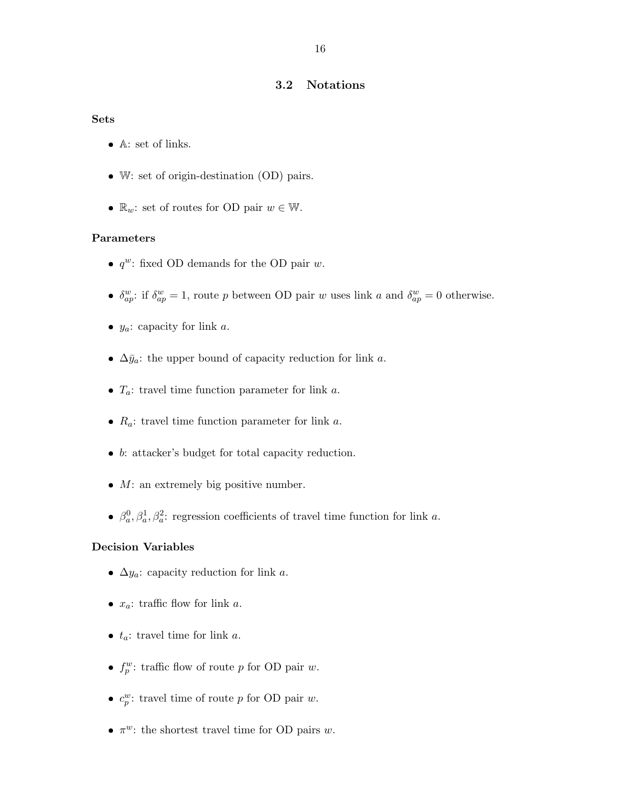## 3.2 Notations

## <span id="page-23-0"></span>Sets

- A: set of links.
- W: set of origin-destination (OD) pairs.
- $\mathbb{R}_w$ : set of routes for OD pair  $w \in \mathbb{W}$ .

## Parameters

- $\bullet$   $q^w$ : fixed OD demands for the OD pair w.
- $\delta_{ap}^w$ : if  $\delta_{ap}^w = 1$ , route p between OD pair w uses link a and  $\delta_{ap}^w = 0$  otherwise.
- $y_a$ : capacity for link  $a$ .
- $\Delta \bar{y}_a$ : the upper bound of capacity reduction for link a.
- $T_a$ : travel time function parameter for link a.
- $R_a$ : travel time function parameter for link  $a$ .
- *b*: attacker's budget for total capacity reduction.
- $\bullet$  *M*: an extremely big positive number.
- $\beta_a^0$ ,  $\beta_a^1$ ,  $\beta_a^2$ : regression coefficients of travel time function for link a.

## Decision Variables

- $\bullet$   $\Delta y_a$ : capacity reduction for link a.
- $x_a$ : traffic flow for link a.
- $t_a$ : travel time for link a.
- $f_p^w$ : traffic flow of route p for OD pair w.
- $c_p^w$ : travel time of route p for OD pair w.
- $\pi^w$ : the shortest travel time for OD pairs w.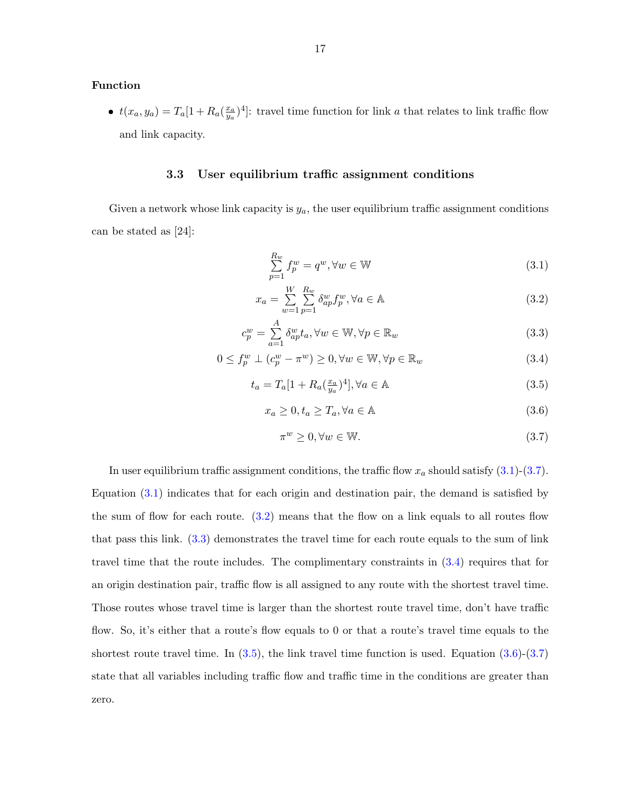## <span id="page-24-0"></span>Function

•  $t(x_a, y_a) = T_a[1 + R_a(\frac{x_a}{y_a})]$  $(\frac{x_a}{y_a})^4$ : travel time function for link a that relates to link traffic flow and link capacity.

## 3.3 User equilibrium traffic assignment conditions

Given a network whose link capacity is  $y_a$ , the user equilibrium traffic assignment conditions can be stated as [24]:

$$
\sum_{p=1}^{R_w} f_p^w = q^w, \forall w \in \mathbb{W} \tag{3.1}
$$

$$
x_a = \sum_{w=1}^{W} \sum_{p=1}^{R_w} \delta_{ap}^w f_p^w, \forall a \in \mathbb{A}
$$
\n(3.2)

$$
c_p^w = \sum_{a=1}^A \delta_{ap}^w t_a, \forall w \in \mathbb{W}, \forall p \in \mathbb{R}_w
$$
\n(3.3)

$$
0 \le f_p^w \perp (c_p^w - \pi^w) \ge 0, \forall w \in \mathbb{W}, \forall p \in \mathbb{R}_w \tag{3.4}
$$

$$
t_a = T_a[1 + R_a(\frac{x_a}{y_a})^4], \forall a \in \mathbb{A}
$$
\n(3.5)

$$
x_a \ge 0, t_a \ge T_a, \forall a \in \mathbb{A} \tag{3.6}
$$

$$
\pi^w \ge 0, \forall w \in \mathbb{W}.\tag{3.7}
$$

In user equilibrium traffic assignment conditions, the traffic flow  $x_a$  should satisfy  $(3.1)-(3.7)$ . Equation (3.1) indicates that for each origin and destination pair, the demand is satisfied by the sum of flow for each route.  $(3.2)$  means that the flow on a link equals to all routes flow that pass this link. (3.3) demonstrates the travel time for each route equals to the sum of link travel time that the route includes. The complimentary constraints in (3.4) requires that for an origin destination pair, traffic flow is all assigned to any route with the shortest travel time. Those routes whose travel time is larger than the shortest route travel time, don't have traffic flow. So, it's either that a route's flow equals to 0 or that a route's travel time equals to the shortest route travel time. In  $(3.5)$ , the link travel time function is used. Equation  $(3.6)-(3.7)$ state that all variables including traffic flow and traffic time in the conditions are greater than zero.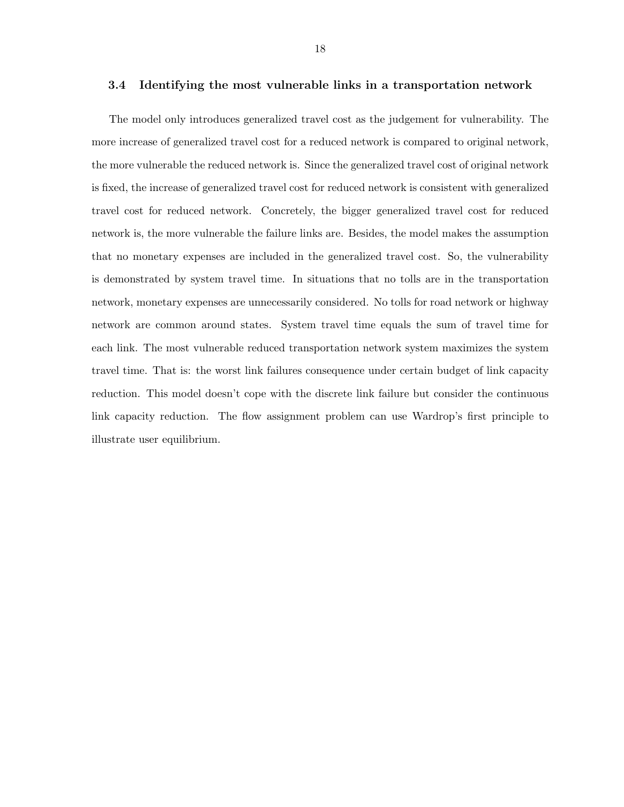### <span id="page-25-0"></span>3.4 Identifying the most vulnerable links in a transportation network

The model only introduces generalized travel cost as the judgement for vulnerability. The more increase of generalized travel cost for a reduced network is compared to original network, the more vulnerable the reduced network is. Since the generalized travel cost of original network is fixed, the increase of generalized travel cost for reduced network is consistent with generalized travel cost for reduced network. Concretely, the bigger generalized travel cost for reduced network is, the more vulnerable the failure links are. Besides, the model makes the assumption that no monetary expenses are included in the generalized travel cost. So, the vulnerability is demonstrated by system travel time. In situations that no tolls are in the transportation network, monetary expenses are unnecessarily considered. No tolls for road network or highway network are common around states. System travel time equals the sum of travel time for each link. The most vulnerable reduced transportation network system maximizes the system travel time. That is: the worst link failures consequence under certain budget of link capacity reduction. This model doesn't cope with the discrete link failure but consider the continuous link capacity reduction. The flow assignment problem can use Wardrop's first principle to illustrate user equilibrium.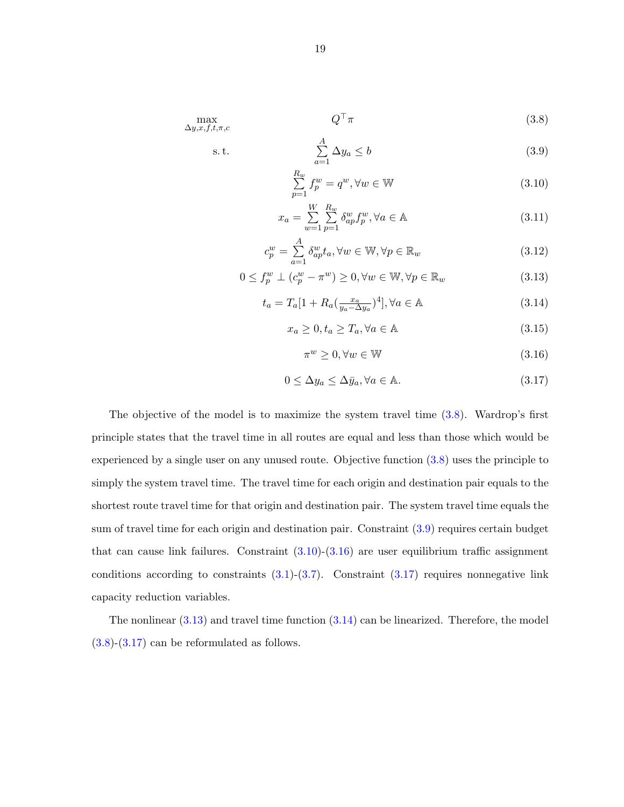$$
Q^{\top}\pi \tag{3.8}
$$

t. 
$$
\sum_{a=1}^{A} \Delta y_a \leq b
$$
 (3.9)

$$
\sum_{p=1}^{R_w} f_p^w = q^w, \forall w \in \mathbb{W} \tag{3.10}
$$

$$
x_a = \sum_{w=1}^{W} \sum_{p=1}^{R_w} \delta_{ap}^w f_p^w, \forall a \in \mathbb{A}
$$
\n(3.11)

$$
c_p^w = \sum_{a=1}^A \delta_{ap}^w t_a, \forall w \in \mathbb{W}, \forall p \in \mathbb{R}_w
$$
\n(3.12)

$$
0 \le f_p^w \perp (c_p^w - \pi^w) \ge 0, \forall w \in \mathbb{W}, \forall p \in \mathbb{R}_w \tag{3.13}
$$

$$
t_a = T_a[1 + R_a(\frac{x_a}{y_a - \Delta y_a})^4], \forall a \in \mathbb{A}
$$
\n(3.14)

$$
x_a \ge 0, t_a \ge T_a, \forall a \in \mathbb{A} \tag{3.15}
$$

$$
\pi^w \ge 0, \forall w \in \mathbb{W} \tag{3.16}
$$

$$
0 \le \Delta y_a \le \Delta \bar{y}_a, \forall a \in \mathbb{A}.\tag{3.17}
$$

The objective of the model is to maximize the system travel time (3.8). Wardrop's first principle states that the travel time in all routes are equal and less than those which would be experienced by a single user on any unused route. Objective function (3.8) uses the principle to simply the system travel time. The travel time for each origin and destination pair equals to the shortest route travel time for that origin and destination pair. The system travel time equals the sum of travel time for each origin and destination pair. Constraint (3.9) requires certain budget that can cause link failures. Constraint  $(3.10)-(3.16)$  are user equilibrium traffic assignment conditions according to constraints  $(3.1)$ - $(3.7)$ . Constraint  $(3.17)$  requires nonnegative link capacity reduction variables.

The nonlinear  $(3.13)$  and travel time function  $(3.14)$  can be linearized. Therefore, the model  $(3.8)-(3.17)$  can be reformulated as follows.

<span id="page-26-0"></span>max  $\Delta y,\!x,\!f,\!t,\!\pi,\!c$ 

s.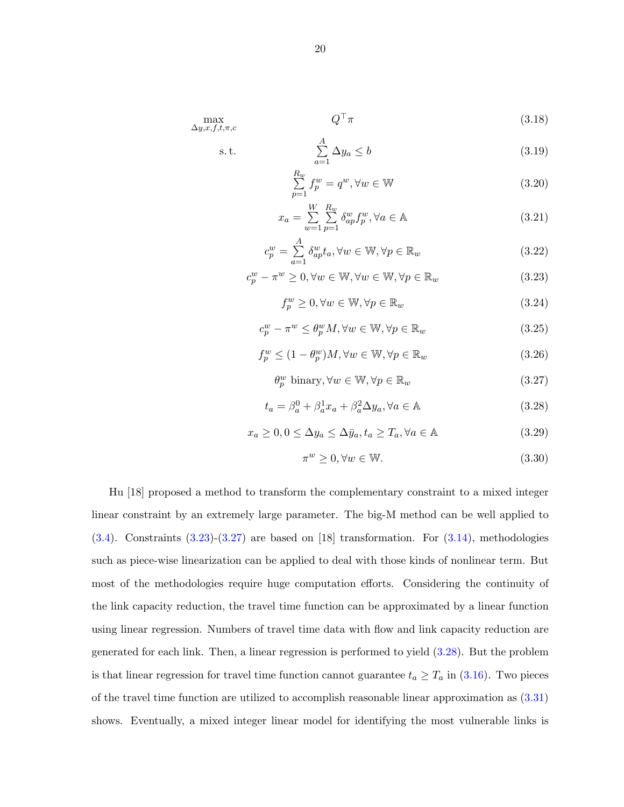$$
Q^{\top}\pi \tag{3.18}
$$

$$
\sum_{a=1}^{A} \Delta y_a \le b \tag{3.19}
$$

$$
\sum_{p=1}^{R_w} f_p^w = q^w, \forall w \in \mathbb{W} \tag{3.20}
$$

$$
x_a = \sum_{w=1}^{W} \sum_{p=1}^{R_w} \delta_{ap}^w f_p^w, \forall a \in \mathbb{A}
$$
\n(3.21)

$$
c_p^w = \sum_{a=1}^A \delta_{ap}^w t_a, \forall w \in \mathbb{W}, \forall p \in \mathbb{R}_w
$$
\n(3.22)

$$
c_p^w - \pi^w \ge 0, \forall w \in \mathbb{W}, \forall w \in \mathbb{W}, \forall p \in \mathbb{R}_w \tag{3.23}
$$

$$
f_p^w \ge 0, \forall w \in \mathbb{W}, \forall p \in \mathbb{R}_w \tag{3.24}
$$

$$
c_p^w - \pi^w \le \theta_p^w M, \forall w \in \mathbb{W}, \forall p \in \mathbb{R}_w \tag{3.25}
$$

$$
f_p^w \le (1 - \theta_p^w) M, \forall w \in \mathbb{W}, \forall p \in \mathbb{R}_w \tag{3.26}
$$

$$
\theta_p^w \text{ binary}, \forall w \in \mathbb{W}, \forall p \in \mathbb{R}_w \tag{3.27}
$$

$$
t_a = \beta_a^0 + \beta_a^1 x_a + \beta_a^2 \Delta y_a, \forall a \in \mathbb{A}
$$
\n(3.28)

$$
x_a \ge 0, 0 \le \Delta y_a \le \Delta \bar{y}_a, t_a \ge T_a, \forall a \in \mathbb{A}
$$
\n
$$
(3.29)
$$

$$
\pi^w \ge 0, \forall w \in \mathbb{W}.\tag{3.30}
$$

Hu [18] proposed a method to transform the complementary constraint to a mixed integer linear constraint by an extremely large parameter. The big-M method can be well applied to  $(3.4)$ . Constraints  $(3.23)-(3.27)$  are based on [18] transformation. For  $(3.14)$ , methodologies such as piece-wise linearization can be applied to deal with those kinds of nonlinear term. But most of the methodologies require huge computation efforts. Considering the continuity of the link capacity reduction, the travel time function can be approximated by a linear function using linear regression. Numbers of travel time data with flow and link capacity reduction are generated for each link. Then, a linear regression is performed to yield (3.28). But the problem is that linear regression for travel time function cannot guarantee  $t_a \geq T_a$  in [\(3.16\)](#page-26-0). Two pieces of the travel time function are utilized to accomplish reasonable linear approximation as [\(3.31\)](#page-28-0) shows. Eventually, a mixed integer linear model for identifying the most vulnerable links is

<span id="page-27-0"></span>max  $\Delta y, x, f, t, \pi, c$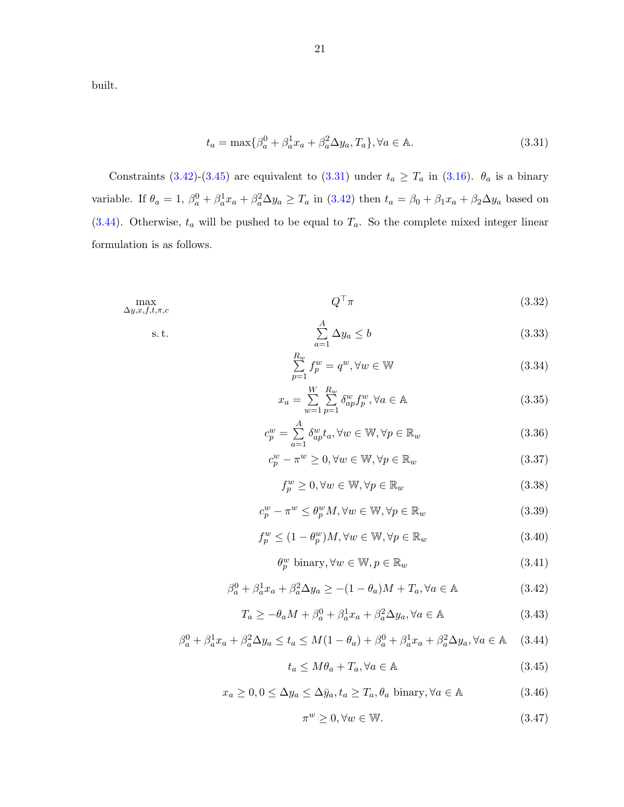<span id="page-28-0"></span>built.

$$
t_a = \max\{\beta_a^0 + \beta_a^1 x_a + \beta_a^2 \Delta y_a, T_a\}, \forall a \in \mathbb{A}.\tag{3.31}
$$

Constraints (3.42)-(3.45) are equivalent to (3.31) under  $t_a \geq T_a$  in [\(3.16\)](#page-26-0).  $\theta_a$  is a binary variable. If  $\theta_a = 1$ ,  $\beta_a^0 + \beta_a^1 x_a + \beta_a^2 \Delta y_a \ge T_a$  in (3.42) then  $t_a = \beta_0 + \beta_1 x_a + \beta_2 \Delta y_a$  based on (3.44). Otherwise,  $t_a$  will be pushed to be equal to  $T_a$ . So the complete mixed integer linear formulation is as follows.

$$
\max_{\Delta y, x, f, t, \pi, c} \qquad \qquad Q^{\top} \pi \qquad (3.32)
$$

s.t.  $\sum_{i=1}^{n}$  $a=1$  $\Delta y_a \leq b$  (3.33)

$$
\sum_{p=1}^{R_w} f_p^w = q^w, \forall w \in \mathbb{W} \tag{3.34}
$$

$$
x_a = \sum_{w=1}^{W} \sum_{p=1}^{R_w} \delta_{ap}^w f_p^w, \forall a \in \mathbb{A}
$$
\n(3.35)

$$
c_p^w = \sum_{a=1}^A \delta_{ap}^w t_a, \forall w \in \mathbb{W}, \forall p \in \mathbb{R}_w
$$
\n(3.36)

$$
c_p^w - \pi^w \ge 0, \forall w \in \mathbb{W}, \forall p \in \mathbb{R}_w \tag{3.37}
$$

$$
f_p^w \ge 0, \forall w \in \mathbb{W}, \forall p \in \mathbb{R}_w \tag{3.38}
$$

$$
c_p^w - \pi^w \le \theta_p^w M, \forall w \in \mathbb{W}, \forall p \in \mathbb{R}_w \tag{3.39}
$$

$$
f_p^w \le (1 - \theta_p^w) M, \forall w \in \mathbb{W}, \forall p \in \mathbb{R}_w
$$
\n(3.40)

$$
\theta_p^w \text{ binary}, \forall w \in \mathbb{W}, p \in \mathbb{R}_w \tag{3.41}
$$

$$
\beta_a^0 + \beta_a^1 x_a + \beta_a^2 \Delta y_a \ge -(1 - \theta_a)M + T_a, \forall a \in \mathbb{A}
$$
\n(3.42)

$$
T_a \ge -\theta_a M + \beta_a^0 + \beta_a^1 x_a + \beta_a^2 \Delta y_a, \forall a \in \mathbb{A}
$$
\n(3.43)

$$
\beta_a^0 + \beta_a^1 x_a + \beta_a^2 \Delta y_a \le t_a \le M(1 - \theta_a) + \beta_a^0 + \beta_a^1 x_a + \beta_a^2 \Delta y_a, \forall a \in \mathbb{A} \quad (3.44)
$$

$$
t_a \le M\theta_a + T_a, \forall a \in \mathbb{A} \tag{3.45}
$$

$$
x_a \ge 0, 0 \le \Delta y_a \le \Delta \bar{y}_a, t_a \ge T_a, \theta_a \text{ binary}, \forall a \in \mathbb{A}
$$
\n
$$
(3.46)
$$

$$
\pi^w \ge 0, \forall w \in \mathbb{W}.\tag{3.47}
$$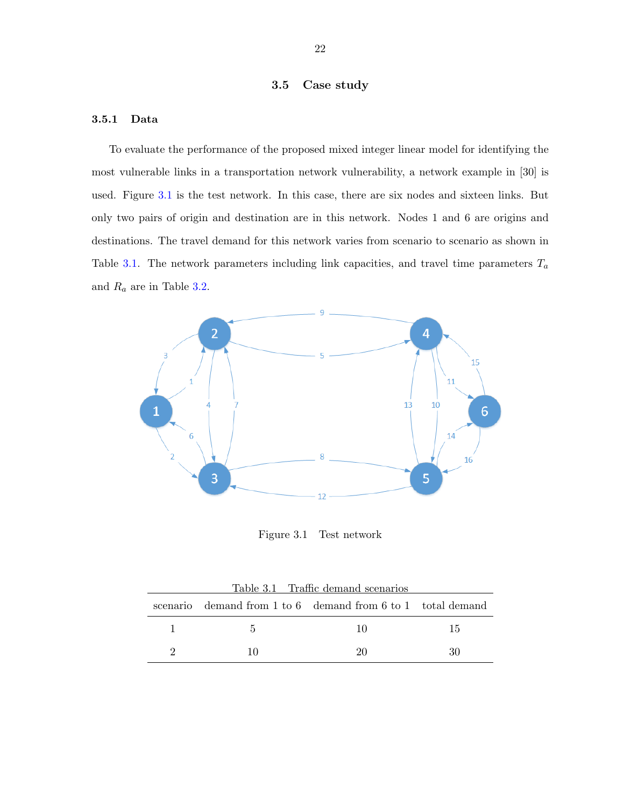## 3.5 Case study

## <span id="page-29-0"></span>3.5.1 Data

To evaluate the performance of the proposed mixed integer linear model for identifying the most vulnerable links in a transportation network vulnerability, a network example in [30] is used. Figure 3.1 is the test network. In this case, there are six nodes and sixteen links. But only two pairs of origin and destination are in this network. Nodes 1 and 6 are origins and destinations. The travel demand for this network varies from scenario to scenario as shown in Table 3.1. The network parameters including link capacities, and travel time parameters  $T_a$ and  $R_a$  are in Table [3.2.](#page-30-0)



Figure 3.1 Test network

| Table 3.1 Traffic demand scenarios |                                                             |  |    |
|------------------------------------|-------------------------------------------------------------|--|----|
|                                    | scenario demand from 1 to 6 demand from 6 to 1 total demand |  |    |
|                                    |                                                             |  | 15 |
|                                    |                                                             |  | 30 |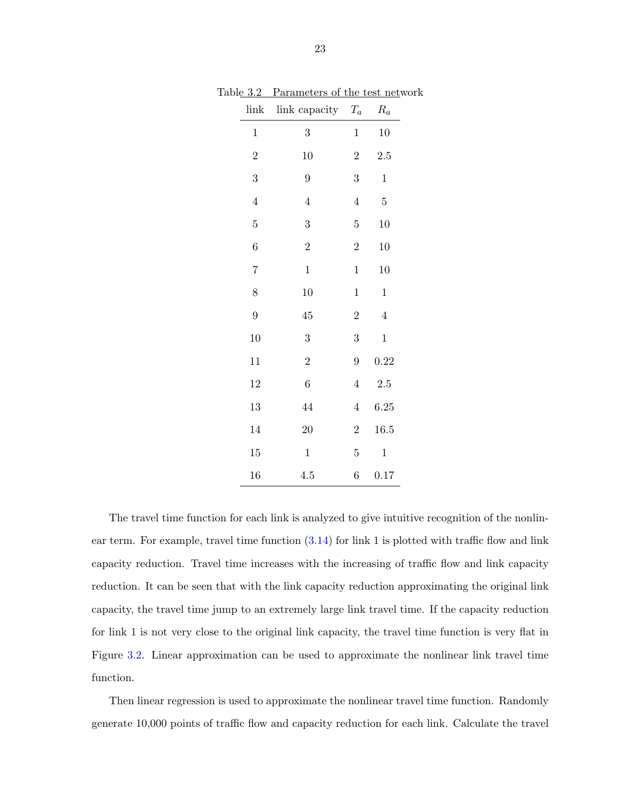| link           | link capacity    | $\mathcal{T}_a$ | $\mathcal{R}_a$ |
|----------------|------------------|-----------------|-----------------|
| $\mathbf{1}$   | 3                | $\mathbf{1}$    | 10              |
| $\overline{2}$ | 10               | $\overline{c}$  | 2.5             |
| 3              | 9                | 3               | $\mathbf{1}$    |
| $\overline{4}$ | $\overline{4}$   | $\overline{4}$  | $\overline{5}$  |
| $\overline{5}$ | 3                | $\overline{5}$  | 10              |
| 6              | $\overline{2}$   | $\overline{2}$  | 10              |
| $\overline{7}$ | $\mathbf{1}$     | $\mathbf{1}$    | 10              |
| 8              | 10               | $\mathbf{1}$    | $\mathbf{1}$    |
| 9              | 45               | $\overline{2}$  | $\overline{4}$  |
| 10             | 3                | 3               | $\mathbf{1}$    |
| 11             | $\overline{2}$   | 9               | 0.22            |
| 12             | $\boldsymbol{6}$ | $\overline{4}$  | 2.5             |
| 13             | 44               | $\overline{4}$  | 6.25            |
| 14             | 20               | $\overline{2}$  | 16.5            |
| 15             | $\,1$            | $\overline{5}$  | $\mathbf{1}$    |
| 16             | 4.5              | 6               | 0.17            |

<span id="page-30-0"></span>Table 3.2 Parameters of the test network

The travel time function for each link is analyzed to give intuitive recognition of the nonlinear term. For example, travel time function  $(3.14)$  for link 1 is plotted with traffic flow and link capacity reduction. Travel time increases with the increasing of traffic flow and link capacity reduction. It can be seen that with the link capacity reduction approximating the original link capacity, the travel time jump to an extremely large link travel time. If the capacity reduction for link 1 is not very close to the original link capacity, the travel time function is very flat in Figure [3.2.](#page-32-0) Linear approximation can be used to approximate the nonlinear link travel time function.

Then linear regression is used to approximate the nonlinear travel time function. Randomly generate 10,000 points of traffic flow and capacity reduction for each link. Calculate the travel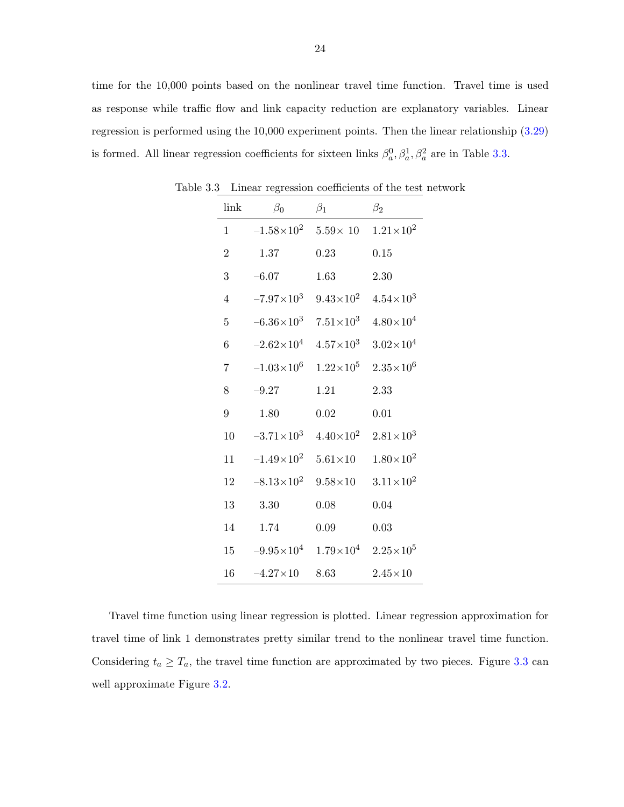<span id="page-31-0"></span>time for the 10,000 points based on the nonlinear travel time function. Travel time is used as response while traffic flow and link capacity reduction are explanatory variables. Linear regression is performed using the 10,000 experiment points. Then the linear relationship [\(3.29\)](#page-27-0) is formed. All linear regression coefficients for sixteen links  $\beta_a^0$ ,  $\beta_a^1$ ,  $\beta_a^2$  are in Table 3.3.

| link           | $\beta_0$           | $\beta_1$          | $\beta_2$          |
|----------------|---------------------|--------------------|--------------------|
| 1              | $-1.58\times10^{2}$ | $5.59 \times 10$   | $1.21\times10^{2}$ |
| $\overline{2}$ | 1.37                | 0.23               | 0.15               |
| 3              | $-6.07$             | 1.63               | 2.30               |
| 4              | $-7.97\times10^{3}$ | $9.43\times10^{2}$ | $4.54\times10^{3}$ |
| 5              | $-6.36\times10^{3}$ | $7.51\times10^{3}$ | $4.80\times10^{4}$ |
| 6              | $-2.62\times10^{4}$ | $4.57\times10^{3}$ | $3.02\times10^{4}$ |
| 7              | $-1.03\times10^{6}$ | $1.22\times10^{5}$ | $2.35\times10^{6}$ |
| 8              | $-9.27$             | 1.21               | 2.33               |
| 9              | 1.80                | 0.02               | 0.01               |
| 10             | $-3.71 \times 10^3$ | $4.40\times10^{2}$ | $2.81\times10^{3}$ |
| 11             | $-1.49\times10^{2}$ | $5.61\times10$     | $1.80\times10^{2}$ |
| 12             | $-8.13\times10^{2}$ | $9.58\times10$     | $3.11\times10^{2}$ |
| 13             | 3.30                | 0.08               | 0.04               |
| 14             | 1.74                | 0.09               | 0.03               |
| 15             | $-9.95 \times 10^4$ | $1.79\times10^{4}$ | $2.25\times10^{5}$ |
| 16             | $-4.27\times10$     | 8.63               | $2.45 \times 10$   |

Table 3.3 Linear regression coefficients of the test network

Travel time function using linear regression is plotted. Linear regression approximation for travel time of link 1 demonstrates pretty similar trend to the nonlinear travel time function. Considering  $t_a \geq T_a$ , the travel time function are approximated by two pieces. Figure [3.3](#page-32-0) can well approximate Figure [3.2.](#page-32-0)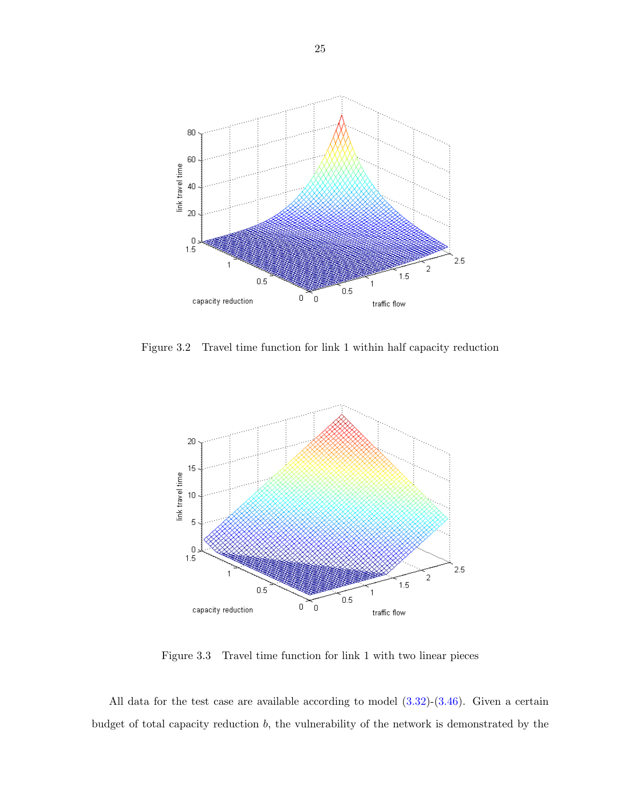<span id="page-32-0"></span>

Figure 3.2 Travel time function for link 1 within half capacity reduction



Figure 3.3 Travel time function for link 1 with two linear pieces

All data for the test case are available according to model  $(3.32)-(3.46)$  $(3.32)-(3.46)$  $(3.32)-(3.46)$ . Given a certain budget of total capacity reduction b, the vulnerability of the network is demonstrated by the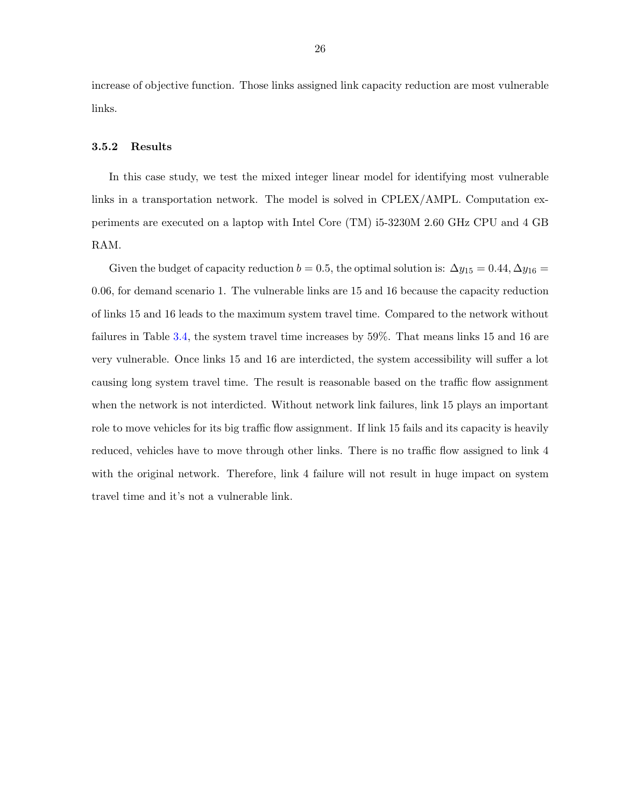<span id="page-33-0"></span>increase of objective function. Those links assigned link capacity reduction are most vulnerable links.

## 3.5.2 Results

In this case study, we test the mixed integer linear model for identifying most vulnerable links in a transportation network. The model is solved in CPLEX/AMPL. Computation experiments are executed on a laptop with Intel Core (TM) i5-3230M 2.60 GHz CPU and 4 GB RAM.

Given the budget of capacity reduction  $b = 0.5$ , the optimal solution is:  $\Delta y_{15} = 0.44, \Delta y_{16} = 0.5$ 0.06, for demand scenario 1. The vulnerable links are 15 and 16 because the capacity reduction of links 15 and 16 leads to the maximum system travel time. Compared to the network without failures in Table [3.4,](#page-34-0) the system travel time increases by 59%. That means links 15 and 16 are very vulnerable. Once links 15 and 16 are interdicted, the system accessibility will suffer a lot causing long system travel time. The result is reasonable based on the traffic flow assignment when the network is not interdicted. Without network link failures, link 15 plays an important role to move vehicles for its big traffic flow assignment. If link 15 fails and its capacity is heavily reduced, vehicles have to move through other links. There is no traffic flow assigned to link 4 with the original network. Therefore, link 4 failure will not result in huge impact on system travel time and it's not a vulnerable link.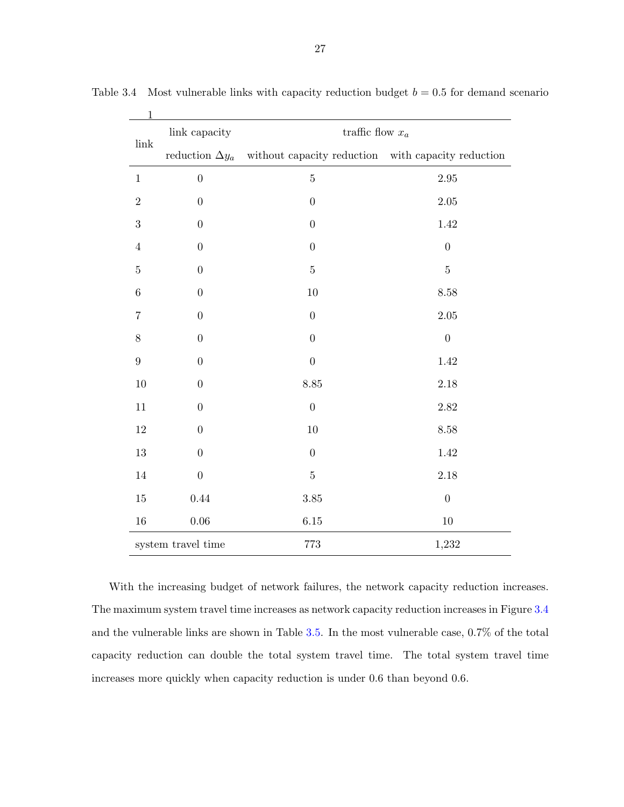| $\mathbf{1}$       |                        |                                                    |                  |
|--------------------|------------------------|----------------------------------------------------|------------------|
| link               | link capacity          | traffic flow $x_a$                                 |                  |
|                    | reduction $\Delta y_a$ | without capacity reduction with capacity reduction |                  |
| $\mathbf 1$        | $\boldsymbol{0}$       | $\bf 5$                                            | 2.95             |
| $\sqrt{2}$         | $\boldsymbol{0}$       | $\overline{0}$                                     | $2.05\,$         |
| $\sqrt{3}$         | $\boldsymbol{0}$       | $\boldsymbol{0}$                                   | 1.42             |
| $\,4\,$            | $\boldsymbol{0}$       | $\overline{0}$                                     | $\boldsymbol{0}$ |
| $\overline{5}$     | $\boldsymbol{0}$       | $\overline{5}$                                     | $\bf 5$          |
| $\,6$              | $\boldsymbol{0}$       | 10                                                 | 8.58             |
| $\overline{7}$     | $\boldsymbol{0}$       | $\overline{0}$                                     | $2.05\,$         |
| $8\,$              | $\boldsymbol{0}$       | $\boldsymbol{0}$                                   | $\boldsymbol{0}$ |
| $\boldsymbol{9}$   | $\boldsymbol{0}$       | $\overline{0}$                                     | 1.42             |
| $10\,$             | $\boldsymbol{0}$       | 8.85                                               | 2.18             |
| $11\,$             | $\boldsymbol{0}$       | $\boldsymbol{0}$                                   | 2.82             |
| $12\,$             | $\boldsymbol{0}$       | 10                                                 | 8.58             |
| $13\,$             | $\boldsymbol{0}$       | $\overline{0}$                                     | 1.42             |
| $14\,$             | $\boldsymbol{0}$       | $\bf 5$                                            | 2.18             |
| $15\,$             | $0.44\,$               | $3.85\,$                                           | $\boldsymbol{0}$ |
| $16\,$             | $0.06\,$               | $6.15\,$                                           | $10\,$           |
| system travel time |                        | 773                                                | 1,232            |

<span id="page-34-0"></span>Table 3.4 Most vulnerable links with capacity reduction budget  $b = 0.5$  for demand scenario

With the increasing budget of network failures, the network capacity reduction increases. The maximum system travel time increases as network capacity reduction increases in Figure [3.4](#page-35-0) and the vulnerable links are shown in Table [3.5.](#page-35-0) In the most vulnerable case, 0.7% of the total capacity reduction can double the total system travel time. The total system travel time increases more quickly when capacity reduction is under 0.6 than beyond 0.6.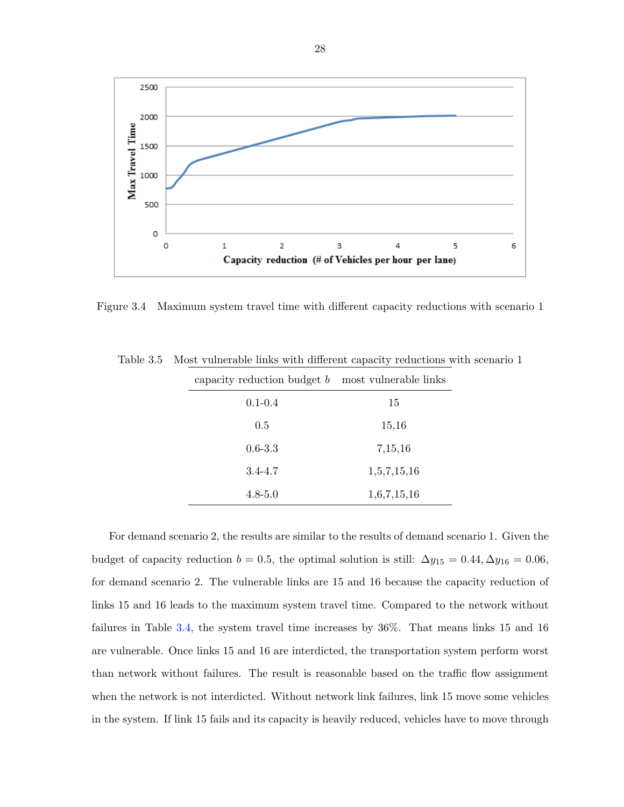<span id="page-35-0"></span>

Figure 3.4 Maximum system travel time with different capacity reductions with scenario 1

| capacity reduction budget b | most vulnerable links |
|-----------------------------|-----------------------|
| $0.1 - 0.4$                 | 15                    |
| 0.5                         | 15,16                 |
| $0.6 - 3.3$                 | 7,15,16               |
| $3.4 - 4.7$                 | 1,5,7,15,16           |
| $4.8 - 5.0$                 | 1,6,7,15,16           |
|                             |                       |

Table 3.5 Most vulnerable links with different capacity reductions with scenario 1

For demand scenario 2, the results are similar to the results of demand scenario 1. Given the budget of capacity reduction  $b = 0.5$ , the optimal solution is still:  $\Delta y_{15} = 0.44, \Delta y_{16} = 0.06$ , for demand scenario 2. The vulnerable links are 15 and 16 because the capacity reduction of links 15 and 16 leads to the maximum system travel time. Compared to the network without failures in Table [3.4,](#page-34-0) the system travel time increases by 36%. That means links 15 and 16 are vulnerable. Once links 15 and 16 are interdicted, the transportation system perform worst than network without failures. The result is reasonable based on the traffic flow assignment when the network is not interdicted. Without network link failures, link 15 move some vehicles in the system. If link 15 fails and its capacity is heavily reduced, vehicles have to move through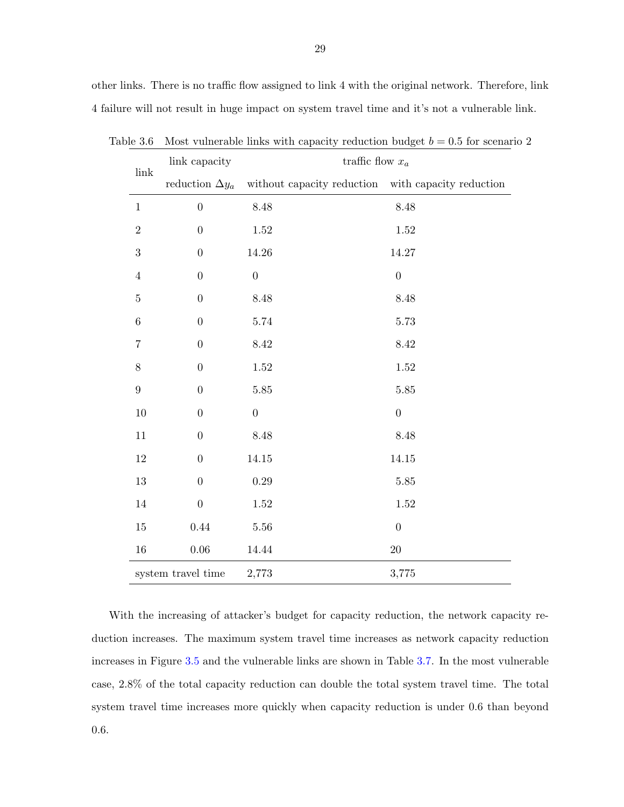<span id="page-36-0"></span>other links. There is no traffic flow assigned to link 4 with the original network. Therefore, link 4 failure will not result in huge impact on system travel time and it's not a vulnerable link.

| $\operatorname{link}$ | link capacity          | traffic flow $x_a$                                 |                  |
|-----------------------|------------------------|----------------------------------------------------|------------------|
|                       | reduction $\Delta y_a$ | without capacity reduction with capacity reduction |                  |
| $\mathbf{1}$          | $\boldsymbol{0}$       | 8.48                                               | $8.48\,$         |
| $\overline{2}$        | $\boldsymbol{0}$       | $1.52\,$                                           | 1.52             |
| 3                     | $\boldsymbol{0}$       | $14.26\,$                                          | $14.27\,$        |
| $\,4\,$               | $\boldsymbol{0}$       | $\boldsymbol{0}$                                   | $\boldsymbol{0}$ |
| $\bf 5$               | $\boldsymbol{0}$       | 8.48                                               | 8.48             |
| $\,6$                 | $\boldsymbol{0}$       | 5.74                                               | $5.73\,$         |
| $\overline{7}$        | $\boldsymbol{0}$       | 8.42                                               | 8.42             |
| $8\,$                 | $\boldsymbol{0}$       | $1.52\,$                                           | 1.52             |
| $\boldsymbol{9}$      | $\boldsymbol{0}$       | $5.85\,$                                           | 5.85             |
| 10                    | $\boldsymbol{0}$       | $\boldsymbol{0}$                                   | $\overline{0}$   |
| $11\,$                | $\boldsymbol{0}$       | $8.48\,$                                           | $8.48\,$         |
| 12                    | $\boldsymbol{0}$       | 14.15                                              | 14.15            |
| 13                    | $\boldsymbol{0}$       | $0.29\,$                                           | 5.85             |
| 14                    | $\boldsymbol{0}$       | $1.52\,$                                           | 1.52             |
| 15                    | $0.44\,$               | $5.56\,$                                           | $\boldsymbol{0}$ |
| 16                    | $0.06\,$               | $14.44\,$                                          | $20\,$           |
|                       | system travel time     | 2,773                                              | 3,775            |

Table 3.6 Most vulnerable links with capacity reduction budget  $b = 0.5$  for scenario 2

With the increasing of attacker's budget for capacity reduction, the network capacity reduction increases. The maximum system travel time increases as network capacity reduction increases in Figure [3.5](#page-37-0) and the vulnerable links are shown in Table [3.7.](#page-37-0) In the most vulnerable case, 2.8% of the total capacity reduction can double the total system travel time. The total system travel time increases more quickly when capacity reduction is under 0.6 than beyond 0.6.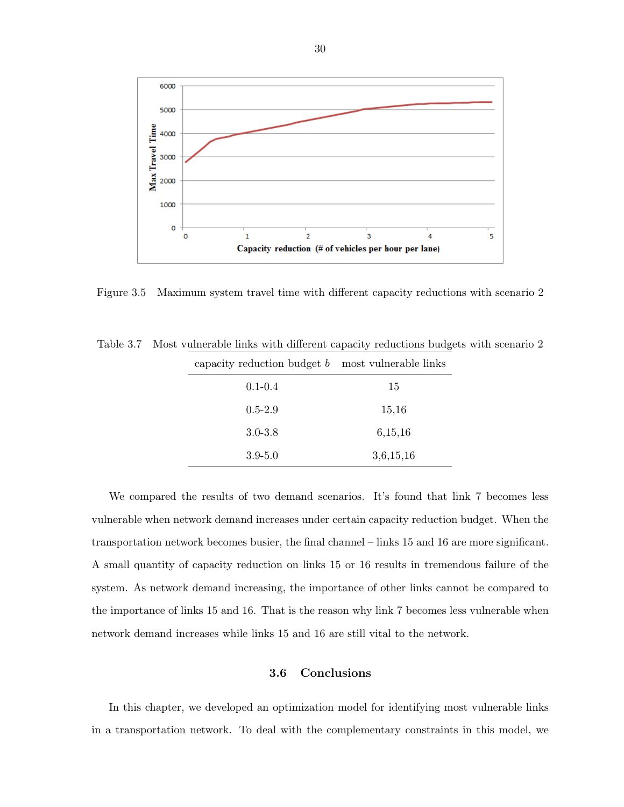<span id="page-37-0"></span>

Figure 3.5 Maximum system travel time with different capacity reductions with scenario 2

| capacity reduction budget $b$ most vulnerable links |           |
|-----------------------------------------------------|-----------|
| $0.1 - 0.4$                                         | 15        |
| $0.5 - 2.9$                                         | 15,16     |
| $3.0 - 3.8$                                         | 6,15,16   |
| $3.9 - 5.0$                                         | 3,6,15,16 |

Table 3.7 Most vulnerable links with different capacity reductions budgets with scenario 2

We compared the results of two demand scenarios. It's found that link 7 becomes less vulnerable when network demand increases under certain capacity reduction budget. When the transportation network becomes busier, the final channel – links 15 and 16 are more significant. A small quantity of capacity reduction on links 15 or 16 results in tremendous failure of the system. As network demand increasing, the importance of other links cannot be compared to the importance of links 15 and 16. That is the reason why link 7 becomes less vulnerable when network demand increases while links 15 and 16 are still vital to the network.

## 3.6 Conclusions

In this chapter, we developed an optimization model for identifying most vulnerable links in a transportation network. To deal with the complementary constraints in this model, we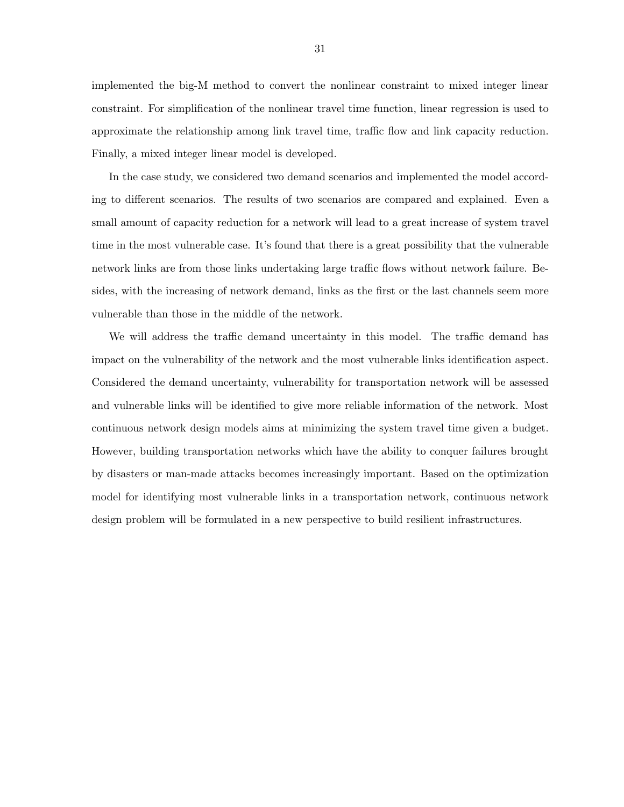implemented the big-M method to convert the nonlinear constraint to mixed integer linear constraint. For simplification of the nonlinear travel time function, linear regression is used to approximate the relationship among link travel time, traffic flow and link capacity reduction. Finally, a mixed integer linear model is developed.

In the case study, we considered two demand scenarios and implemented the model according to different scenarios. The results of two scenarios are compared and explained. Even a small amount of capacity reduction for a network will lead to a great increase of system travel time in the most vulnerable case. It's found that there is a great possibility that the vulnerable network links are from those links undertaking large traffic flows without network failure. Besides, with the increasing of network demand, links as the first or the last channels seem more vulnerable than those in the middle of the network.

We will address the traffic demand uncertainty in this model. The traffic demand has impact on the vulnerability of the network and the most vulnerable links identification aspect. Considered the demand uncertainty, vulnerability for transportation network will be assessed and vulnerable links will be identified to give more reliable information of the network. Most continuous network design models aims at minimizing the system travel time given a budget. However, building transportation networks which have the ability to conquer failures brought by disasters or man-made attacks becomes increasingly important. Based on the optimization model for identifying most vulnerable links in a transportation network, continuous network design problem will be formulated in a new perspective to build resilient infrastructures.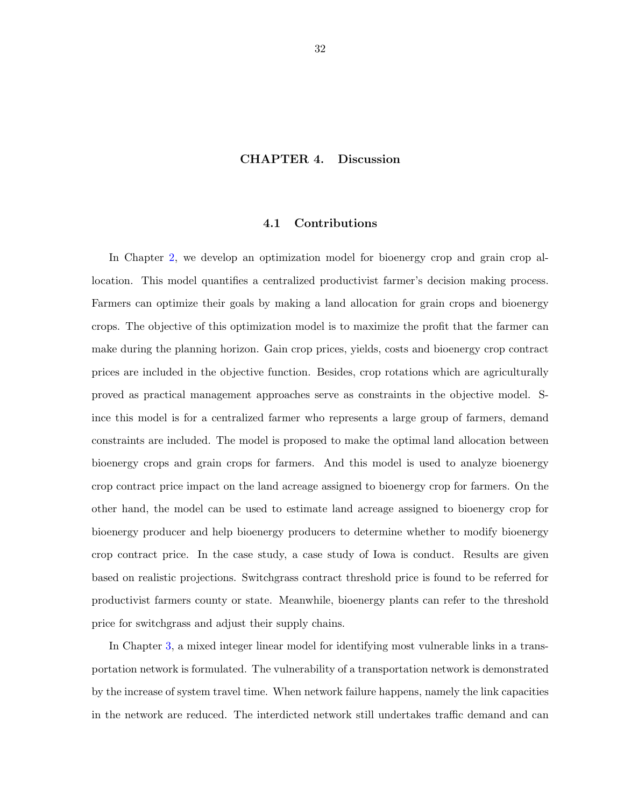## CHAPTER 4. Discussion

## 4.1 Contributions

<span id="page-39-0"></span>In Chapter [2,](#page-12-0) we develop an optimization model for bioenergy crop and grain crop allocation. This model quantifies a centralized productivist farmer's decision making process. Farmers can optimize their goals by making a land allocation for grain crops and bioenergy crops. The objective of this optimization model is to maximize the profit that the farmer can make during the planning horizon. Gain crop prices, yields, costs and bioenergy crop contract prices are included in the objective function. Besides, crop rotations which are agriculturally proved as practical management approaches serve as constraints in the objective model. Since this model is for a centralized farmer who represents a large group of farmers, demand constraints are included. The model is proposed to make the optimal land allocation between bioenergy crops and grain crops for farmers. And this model is used to analyze bioenergy crop contract price impact on the land acreage assigned to bioenergy crop for farmers. On the other hand, the model can be used to estimate land acreage assigned to bioenergy crop for bioenergy producer and help bioenergy producers to determine whether to modify bioenergy crop contract price. In the case study, a case study of Iowa is conduct. Results are given based on realistic projections. Switchgrass contract threshold price is found to be referred for productivist farmers county or state. Meanwhile, bioenergy plants can refer to the threshold price for switchgrass and adjust their supply chains.

In Chapter [3,](#page-21-0) a mixed integer linear model for identifying most vulnerable links in a transportation network is formulated. The vulnerability of a transportation network is demonstrated by the increase of system travel time. When network failure happens, namely the link capacities in the network are reduced. The interdicted network still undertakes traffic demand and can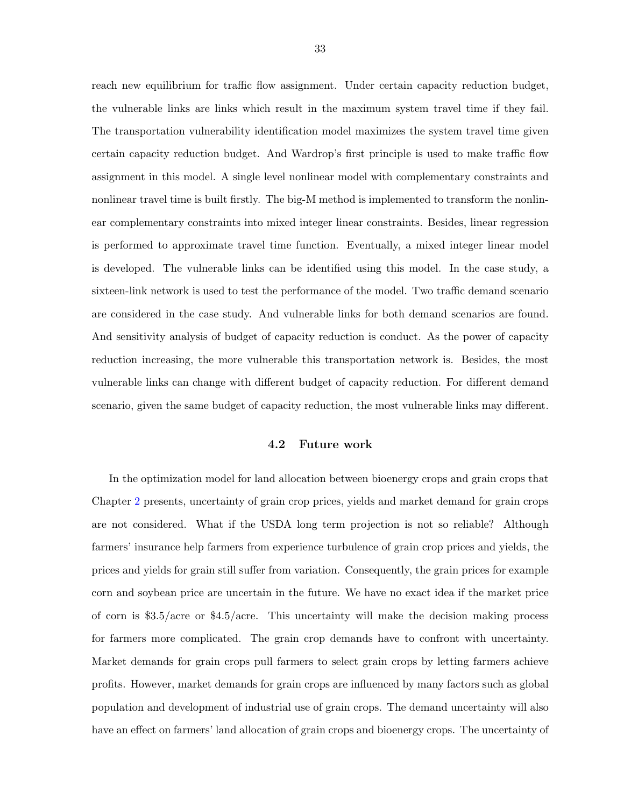<span id="page-40-0"></span>reach new equilibrium for traffic flow assignment. Under certain capacity reduction budget, the vulnerable links are links which result in the maximum system travel time if they fail. The transportation vulnerability identification model maximizes the system travel time given certain capacity reduction budget. And Wardrop's first principle is used to make traffic flow assignment in this model. A single level nonlinear model with complementary constraints and nonlinear travel time is built firstly. The big-M method is implemented to transform the nonlinear complementary constraints into mixed integer linear constraints. Besides, linear regression is performed to approximate travel time function. Eventually, a mixed integer linear model is developed. The vulnerable links can be identified using this model. In the case study, a sixteen-link network is used to test the performance of the model. Two traffic demand scenario are considered in the case study. And vulnerable links for both demand scenarios are found. And sensitivity analysis of budget of capacity reduction is conduct. As the power of capacity reduction increasing, the more vulnerable this transportation network is. Besides, the most vulnerable links can change with different budget of capacity reduction. For different demand scenario, given the same budget of capacity reduction, the most vulnerable links may different.

## 4.2 Future work

In the optimization model for land allocation between bioenergy crops and grain crops that Chapter [2](#page-12-0) presents, uncertainty of grain crop prices, yields and market demand for grain crops are not considered. What if the USDA long term projection is not so reliable? Although farmers' insurance help farmers from experience turbulence of grain crop prices and yields, the prices and yields for grain still suffer from variation. Consequently, the grain prices for example corn and soybean price are uncertain in the future. We have no exact idea if the market price of corn is \$3.5/acre or \$4.5/acre. This uncertainty will make the decision making process for farmers more complicated. The grain crop demands have to confront with uncertainty. Market demands for grain crops pull farmers to select grain crops by letting farmers achieve profits. However, market demands for grain crops are influenced by many factors such as global population and development of industrial use of grain crops. The demand uncertainty will also have an effect on farmers' land allocation of grain crops and bioenergy crops. The uncertainty of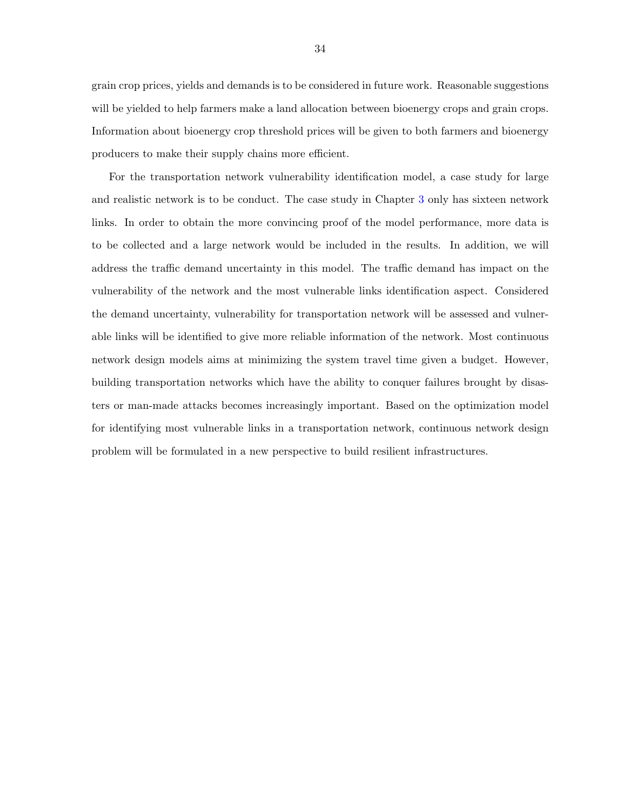grain crop prices, yields and demands is to be considered in future work. Reasonable suggestions will be yielded to help farmers make a land allocation between bioenergy crops and grain crops. Information about bioenergy crop threshold prices will be given to both farmers and bioenergy producers to make their supply chains more efficient.

For the transportation network vulnerability identification model, a case study for large and realistic network is to be conduct. The case study in Chapter [3](#page-21-0) only has sixteen network links. In order to obtain the more convincing proof of the model performance, more data is to be collected and a large network would be included in the results. In addition, we will address the traffic demand uncertainty in this model. The traffic demand has impact on the vulnerability of the network and the most vulnerable links identification aspect. Considered the demand uncertainty, vulnerability for transportation network will be assessed and vulnerable links will be identified to give more reliable information of the network. Most continuous network design models aims at minimizing the system travel time given a budget. However, building transportation networks which have the ability to conquer failures brought by disasters or man-made attacks becomes increasingly important. Based on the optimization model for identifying most vulnerable links in a transportation network, continuous network design problem will be formulated in a new perspective to build resilient infrastructures.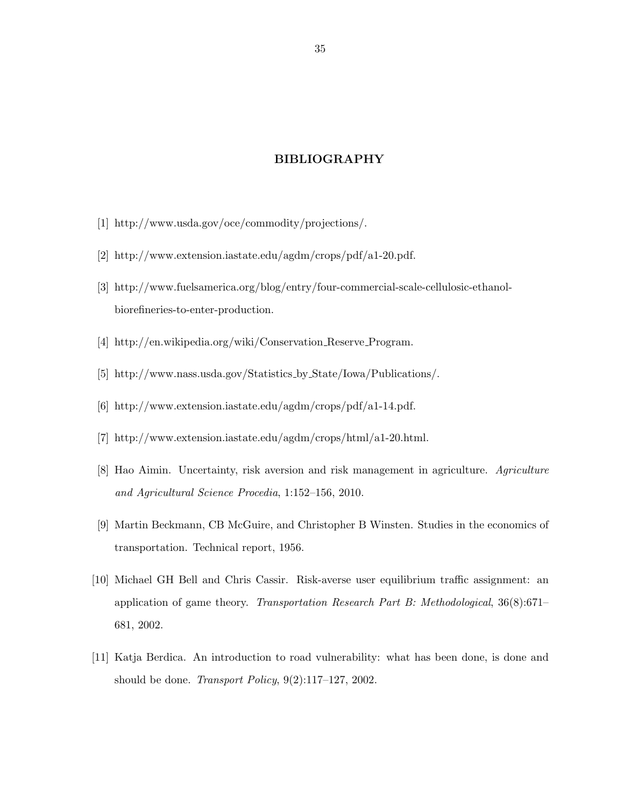## BIBLIOGRAPHY

- <span id="page-42-0"></span>[1] http://www.usda.gov/oce/commodity/projections/.
- [2] http://www.extension.iastate.edu/agdm/crops/pdf/a1-20.pdf.
- [3] http://www.fuelsamerica.org/blog/entry/four-commercial-scale-cellulosic-ethanolbiorefineries-to-enter-production.
- [4] http://en.wikipedia.org/wiki/Conservation Reserve Program.
- [5] http://www.nass.usda.gov/Statistics by State/Iowa/Publications/.
- [6] http://www.extension.iastate.edu/agdm/crops/pdf/a1-14.pdf.
- [7] http://www.extension.iastate.edu/agdm/crops/html/a1-20.html.
- [8] Hao Aimin. Uncertainty, risk aversion and risk management in agriculture. Agriculture and Agricultural Science Procedia, 1:152–156, 2010.
- [9] Martin Beckmann, CB McGuire, and Christopher B Winsten. Studies in the economics of transportation. Technical report, 1956.
- [10] Michael GH Bell and Chris Cassir. Risk-averse user equilibrium traffic assignment: an application of game theory. Transportation Research Part B: Methodological, 36(8):671– 681, 2002.
- [11] Katja Berdica. An introduction to road vulnerability: what has been done, is done and should be done. Transport Policy, 9(2):117–127, 2002.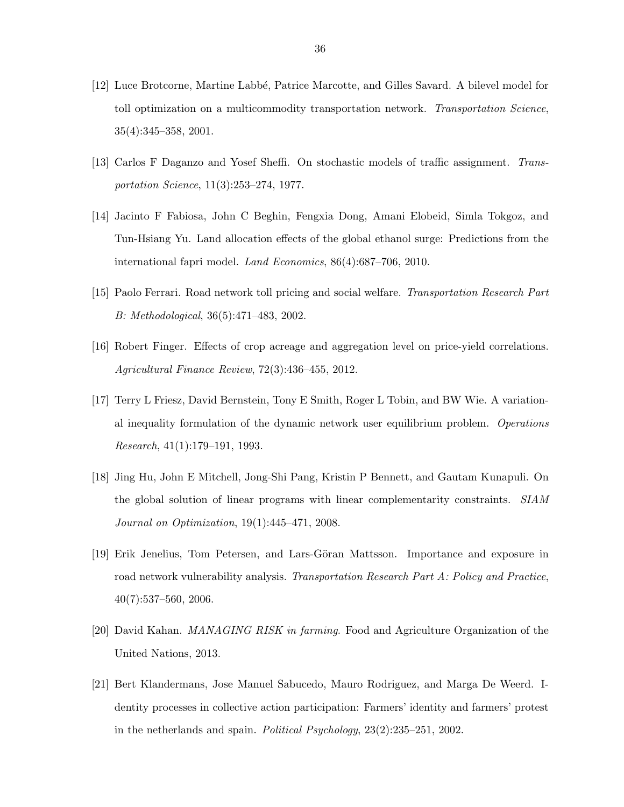- [12] Luce Brotcorne, Martine Labb´e, Patrice Marcotte, and Gilles Savard. A bilevel model for toll optimization on a multicommodity transportation network. Transportation Science, 35(4):345–358, 2001.
- [13] Carlos F Daganzo and Yosef Sheffi. On stochastic models of traffic assignment. Transportation Science, 11(3):253–274, 1977.
- [14] Jacinto F Fabiosa, John C Beghin, Fengxia Dong, Amani Elobeid, Simla Tokgoz, and Tun-Hsiang Yu. Land allocation effects of the global ethanol surge: Predictions from the international fapri model. Land Economics, 86(4):687–706, 2010.
- [15] Paolo Ferrari. Road network toll pricing and social welfare. Transportation Research Part B: Methodological, 36(5):471–483, 2002.
- [16] Robert Finger. Effects of crop acreage and aggregation level on price-yield correlations. Agricultural Finance Review, 72(3):436–455, 2012.
- [17] Terry L Friesz, David Bernstein, Tony E Smith, Roger L Tobin, and BW Wie. A variational inequality formulation of the dynamic network user equilibrium problem. Operations Research, 41(1):179–191, 1993.
- [18] Jing Hu, John E Mitchell, Jong-Shi Pang, Kristin P Bennett, and Gautam Kunapuli. On the global solution of linear programs with linear complementarity constraints. SIAM Journal on Optimization, 19(1):445–471, 2008.
- [19] Erik Jenelius, Tom Petersen, and Lars-Göran Mattsson. Importance and exposure in road network vulnerability analysis. Transportation Research Part A: Policy and Practice, 40(7):537–560, 2006.
- [20] David Kahan. MANAGING RISK in farming. Food and Agriculture Organization of the United Nations, 2013.
- [21] Bert Klandermans, Jose Manuel Sabucedo, Mauro Rodriguez, and Marga De Weerd. Identity processes in collective action participation: Farmers' identity and farmers' protest in the netherlands and spain. Political Psychology, 23(2):235–251, 2002.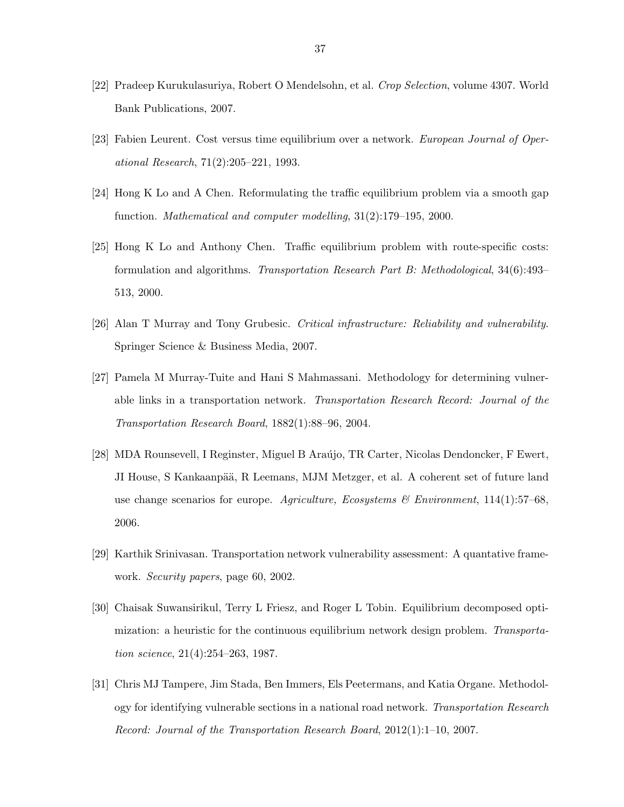- [22] Pradeep Kurukulasuriya, Robert O Mendelsohn, et al. Crop Selection, volume 4307. World Bank Publications, 2007.
- [23] Fabien Leurent. Cost versus time equilibrium over a network. European Journal of Operational Research, 71(2):205–221, 1993.
- [24] Hong K Lo and A Chen. Reformulating the traffic equilibrium problem via a smooth gap function. Mathematical and computer modelling, 31(2):179–195, 2000.
- [25] Hong K Lo and Anthony Chen. Traffic equilibrium problem with route-specific costs: formulation and algorithms. Transportation Research Part B: Methodological, 34(6):493– 513, 2000.
- [26] Alan T Murray and Tony Grubesic. Critical infrastructure: Reliability and vulnerability. Springer Science & Business Media, 2007.
- [27] Pamela M Murray-Tuite and Hani S Mahmassani. Methodology for determining vulnerable links in a transportation network. Transportation Research Record: Journal of the Transportation Research Board, 1882(1):88–96, 2004.
- [28] MDA Rounsevell, I Reginster, Miguel B Araújo, TR Carter, Nicolas Dendoncker, F Ewert, JI House, S Kankaanpää, R Leemans, MJM Metzger, et al. A coherent set of future land use change scenarios for europe. Agriculture, Ecosystems & Environment,  $114(1):57-68$ , 2006.
- [29] Karthik Srinivasan. Transportation network vulnerability assessment: A quantative framework. Security papers, page 60, 2002.
- [30] Chaisak Suwansirikul, Terry L Friesz, and Roger L Tobin. Equilibrium decomposed optimization: a heuristic for the continuous equilibrium network design problem. Transportation science, 21(4):254–263, 1987.
- [31] Chris MJ Tampere, Jim Stada, Ben Immers, Els Peetermans, and Katia Organe. Methodology for identifying vulnerable sections in a national road network. Transportation Research Record: Journal of the Transportation Research Board, 2012(1):1–10, 2007.